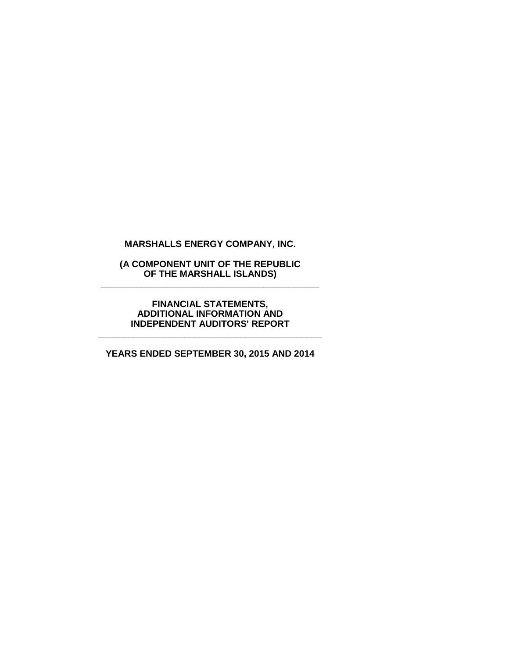**MARSHALLS ENERGY COMPANY, INC.**

**(A COMPONENT UNIT OF THE REPUBLIC OF THE MARSHALL ISLANDS) \_\_\_\_\_\_\_\_\_\_\_\_\_\_\_\_\_\_\_\_\_\_\_\_\_\_\_\_\_\_\_\_\_\_\_\_\_\_\_\_\_\_\_**

> **FINANCIAL STATEMENTS, ADDITIONAL INFORMATION AND INDEPENDENT AUDITORS' REPORT**

**YEARS ENDED SEPTEMBER 30, 2015 AND 2014**

**\_\_\_\_\_\_\_\_\_\_\_\_\_\_\_\_\_\_\_\_\_\_\_\_\_\_\_\_\_\_\_\_\_\_\_\_\_\_\_\_\_\_\_\_**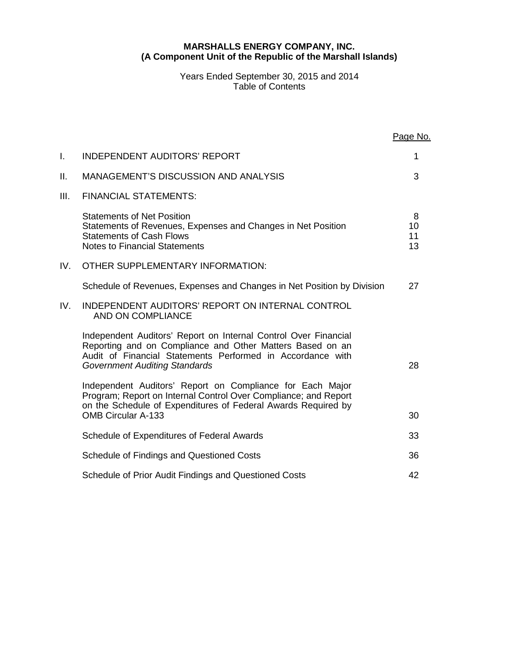# Years Ended September 30, 2015 and 2014 Table of Contents

|      |                                                                                                                                                                                                                                    | Page No.            |
|------|------------------------------------------------------------------------------------------------------------------------------------------------------------------------------------------------------------------------------------|---------------------|
| I.   | <b>INDEPENDENT AUDITORS' REPORT</b>                                                                                                                                                                                                | 1                   |
| II.  | <b>MANAGEMENT'S DISCUSSION AND ANALYSIS</b>                                                                                                                                                                                        | 3                   |
| III. | <b>FINANCIAL STATEMENTS:</b>                                                                                                                                                                                                       |                     |
|      | <b>Statements of Net Position</b><br>Statements of Revenues, Expenses and Changes in Net Position<br><b>Statements of Cash Flows</b><br><b>Notes to Financial Statements</b>                                                       | 8<br>10<br>11<br>13 |
| IV.  | OTHER SUPPLEMENTARY INFORMATION:                                                                                                                                                                                                   |                     |
|      | Schedule of Revenues, Expenses and Changes in Net Position by Division                                                                                                                                                             | 27                  |
| IV.  | <b>INDEPENDENT AUDITORS' REPORT ON INTERNAL CONTROL</b><br>AND ON COMPLIANCE                                                                                                                                                       |                     |
|      | Independent Auditors' Report on Internal Control Over Financial<br>Reporting and on Compliance and Other Matters Based on an<br>Audit of Financial Statements Performed in Accordance with<br><b>Government Auditing Standards</b> | 28                  |
|      | Independent Auditors' Report on Compliance for Each Major<br>Program; Report on Internal Control Over Compliance; and Report<br>on the Schedule of Expenditures of Federal Awards Required by<br><b>OMB Circular A-133</b>         | 30                  |
|      | Schedule of Expenditures of Federal Awards                                                                                                                                                                                         | 33                  |
|      | Schedule of Findings and Questioned Costs                                                                                                                                                                                          | 36                  |
|      | Schedule of Prior Audit Findings and Questioned Costs                                                                                                                                                                              | 42                  |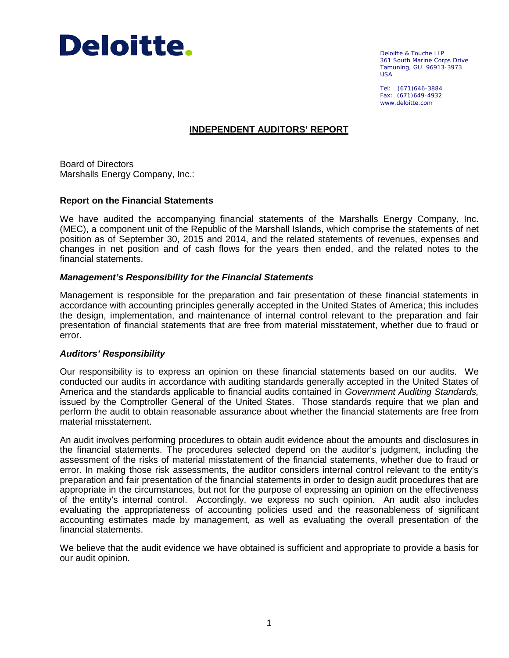

Deloitte & Touche LLP 361 South Marine Corps Drive Tamuning, GU 96913-3973 USA

Tel: (671)646-3884 Fax: (671)649-4932 www.deloitte.com

# **INDEPENDENT AUDITORS' REPORT**

Board of Directors Marshalls Energy Company, Inc.:

#### **Report on the Financial Statements**

We have audited the accompanying financial statements of the Marshalls Energy Company, Inc. (MEC), a component unit of the Republic of the Marshall Islands, which comprise the statements of net position as of September 30, 2015 and 2014, and the related statements of revenues, expenses and changes in net position and of cash flows for the years then ended, and the related notes to the financial statements.

#### *Management's Responsibility for the Financial Statements*

Management is responsible for the preparation and fair presentation of these financial statements in accordance with accounting principles generally accepted in the United States of America; this includes the design, implementation, and maintenance of internal control relevant to the preparation and fair presentation of financial statements that are free from material misstatement, whether due to fraud or error.

#### *Auditors' Responsibility*

Our responsibility is to express an opinion on these financial statements based on our audits. We conducted our audits in accordance with auditing standards generally accepted in the United States of America and the standards applicable to financial audits contained in *Government Auditing Standards,* issued by the Comptroller General of the United States. Those standards require that we plan and perform the audit to obtain reasonable assurance about whether the financial statements are free from material misstatement.

An audit involves performing procedures to obtain audit evidence about the amounts and disclosures in the financial statements. The procedures selected depend on the auditor's judgment, including the assessment of the risks of material misstatement of the financial statements, whether due to fraud or error. In making those risk assessments, the auditor considers internal control relevant to the entity's preparation and fair presentation of the financial statements in order to design audit procedures that are appropriate in the circumstances, but not for the purpose of expressing an opinion on the effectiveness of the entity's internal control. Accordingly, we express no such opinion. An audit also includes evaluating the appropriateness of accounting policies used and the reasonableness of significant accounting estimates made by management, as well as evaluating the overall presentation of the financial statements.

We believe that the audit evidence we have obtained is sufficient and appropriate to provide a basis for our audit opinion.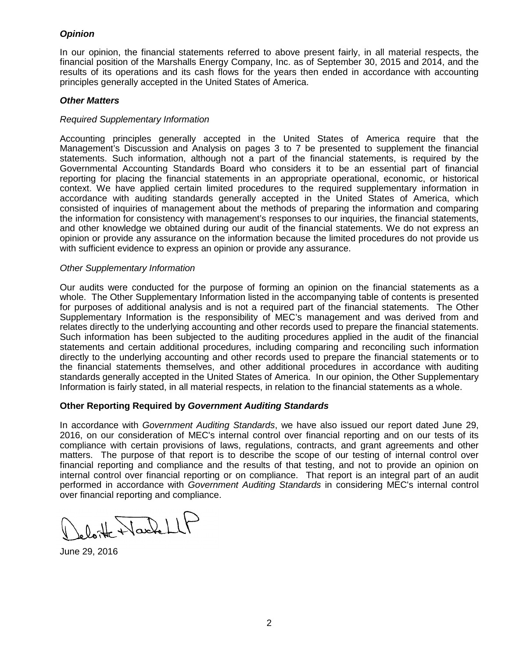# *Opinion*

In our opinion, the financial statements referred to above present fairly, in all material respects, the financial position of the Marshalls Energy Company, Inc. as of September 30, 2015 and 2014, and the results of its operations and its cash flows for the years then ended in accordance with accounting principles generally accepted in the United States of America.

# *Other Matters*

# *Required Supplementary Information*

Accounting principles generally accepted in the United States of America require that the Management's Discussion and Analysis on pages 3 to 7 be presented to supplement the financial statements. Such information, although not a part of the financial statements, is required by the Governmental Accounting Standards Board who considers it to be an essential part of financial reporting for placing the financial statements in an appropriate operational, economic, or historical context. We have applied certain limited procedures to the required supplementary information in accordance with auditing standards generally accepted in the United States of America, which consisted of inquiries of management about the methods of preparing the information and comparing the information for consistency with management's responses to our inquiries, the financial statements, and other knowledge we obtained during our audit of the financial statements. We do not express an opinion or provide any assurance on the information because the limited procedures do not provide us with sufficient evidence to express an opinion or provide any assurance.

# *Other Supplementary Information*

Our audits were conducted for the purpose of forming an opinion on the financial statements as a whole. The Other Supplementary Information listed in the accompanying table of contents is presented for purposes of additional analysis and is not a required part of the financial statements. The Other Supplementary Information is the responsibility of MEC's management and was derived from and relates directly to the underlying accounting and other records used to prepare the financial statements. Such information has been subjected to the auditing procedures applied in the audit of the financial statements and certain additional procedures, including comparing and reconciling such information directly to the underlying accounting and other records used to prepare the financial statements or to the financial statements themselves, and other additional procedures in accordance with auditing standards generally accepted in the United States of America. In our opinion, the Other Supplementary Information is fairly stated, in all material respects, in relation to the financial statements as a whole.

# **Other Reporting Required by** *Government Auditing Standards*

In accordance with *Government Auditing Standards*, we have also issued our report dated June 29, 2016, on our consideration of MEC's internal control over financial reporting and on our tests of its compliance with certain provisions of laws, regulations, contracts, and grant agreements and other matters. The purpose of that report is to describe the scope of our testing of internal control over financial reporting and compliance and the results of that testing, and not to provide an opinion on internal control over financial reporting or on compliance. That report is an integral part of an audit performed in accordance with *Government Auditing Standards* in considering MEC's internal control over financial reporting and compliance.

lette Nachell

June 29, 2016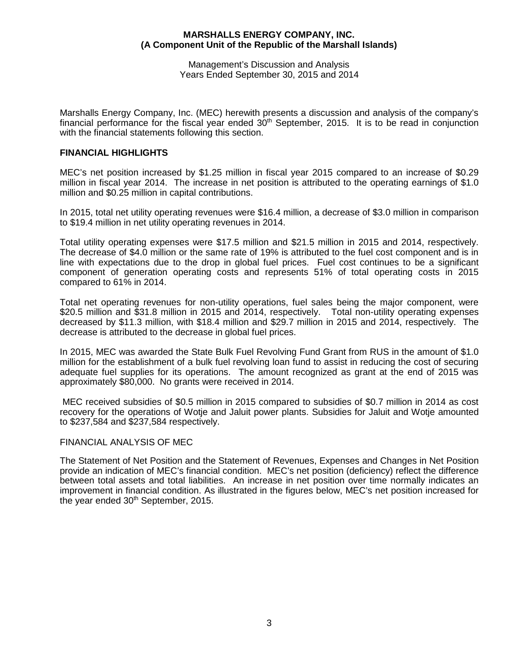Management's Discussion and Analysis Years Ended September 30, 2015 and 2014

Marshalls Energy Company, Inc. (MEC) herewith presents a discussion and analysis of the company's financial performance for the fiscal year ended  $30<sup>th</sup>$  September, 2015. It is to be read in conjunction with the financial statements following this section.

# **FINANCIAL HIGHLIGHTS**

MEC's net position increased by \$1.25 million in fiscal year 2015 compared to an increase of \$0.29 million in fiscal year 2014. The increase in net position is attributed to the operating earnings of \$1.0 million and \$0.25 million in capital contributions.

In 2015, total net utility operating revenues were \$16.4 million, a decrease of \$3.0 million in comparison to \$19.4 million in net utility operating revenues in 2014.

Total utility operating expenses were \$17.5 million and \$21.5 million in 2015 and 2014, respectively. The decrease of \$4.0 million or the same rate of 19% is attributed to the fuel cost component and is in line with expectations due to the drop in global fuel prices. Fuel cost continues to be a significant component of generation operating costs and represents 51% of total operating costs in 2015 compared to 61% in 2014.

Total net operating revenues for non-utility operations, fuel sales being the major component, were \$20.5 million and \$31.8 million in 2015 and 2014, respectively. Total non-utility operating expenses decreased by \$11.3 million, with \$18.4 million and \$29.7 million in 2015 and 2014, respectively. The decrease is attributed to the decrease in global fuel prices.

In 2015, MEC was awarded the State Bulk Fuel Revolving Fund Grant from RUS in the amount of \$1.0 million for the establishment of a bulk fuel revolving loan fund to assist in reducing the cost of securing adequate fuel supplies for its operations. The amount recognized as grant at the end of 2015 was approximately \$80,000. No grants were received in 2014.

MEC received subsidies of \$0.5 million in 2015 compared to subsidies of \$0.7 million in 2014 as cost recovery for the operations of Wotje and Jaluit power plants. Subsidies for Jaluit and Wotje amounted to \$237,584 and \$237,584 respectively.

# FINANCIAL ANALYSIS OF MEC

The Statement of Net Position and the Statement of Revenues, Expenses and Changes in Net Position provide an indication of MEC's financial condition. MEC's net position (deficiency) reflect the difference between total assets and total liabilities. An increase in net position over time normally indicates an improvement in financial condition. As illustrated in the figures below, MEC's net position increased for the year ended 30<sup>th</sup> September, 2015.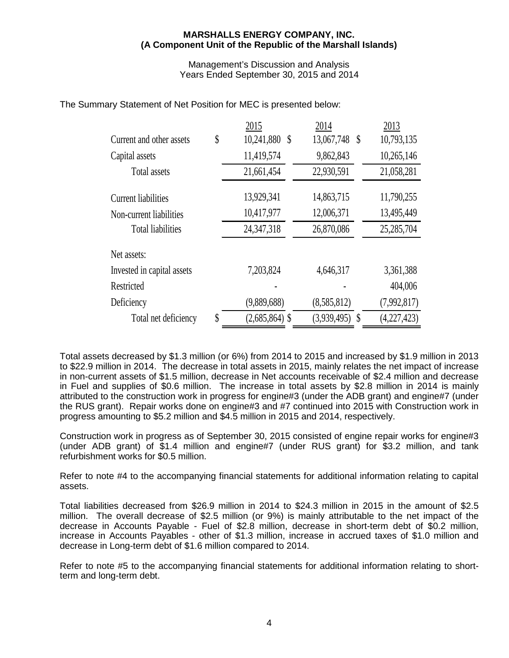Management's Discussion and Analysis Years Ended September 30, 2015 and 2014

|                            | 2015                   | 2014             |                           | 2013        |
|----------------------------|------------------------|------------------|---------------------------|-------------|
| Current and other assets   | \$<br>10,241,880       | 13,067,748<br>\$ | $\boldsymbol{\mathsf{S}}$ | 10,793,135  |
| Capital assets             | 11,419,574             | 9,862,843        |                           | 10,265,146  |
| <b>Total assets</b>        | 21,661,454             | 22,930,591       |                           | 21,058,281  |
| <b>Current liabilities</b> | 13,929,341             | 14,863,715       |                           | 11,790,255  |
| Non-current liabilities    | 10,417,977             | 12,006,371       |                           | 13,495,449  |
| <b>Total liabilities</b>   | 24, 347, 318           | 26,870,086       |                           | 25,285,704  |
| Net assets:                |                        |                  |                           |             |
| Invested in capital assets | 7,203,824              | 4,646,317        |                           | 3,361,388   |
| Restricted                 |                        |                  |                           | 404,006     |
| Deficiency                 | (9,889,688)            | (8,585,812)      |                           | (7,992,817) |
| Total net deficiency       | \$<br>$(2,685,864)$ \$ | (3,939,495)      | <sup>S</sup>              | (4,227,423) |

The Summary Statement of Net Position for MEC is presented below:

Total assets decreased by \$1.3 million (or 6%) from 2014 to 2015 and increased by \$1.9 million in 2013 to \$22.9 million in 2014. The decrease in total assets in 2015, mainly relates the net impact of increase in non-current assets of \$1.5 million, decrease in Net accounts receivable of \$2.4 million and decrease in Fuel and supplies of \$0.6 million. The increase in total assets by \$2.8 million in 2014 is mainly attributed to the construction work in progress for engine#3 (under the ADB grant) and engine#7 (under the RUS grant). Repair works done on engine#3 and #7 continued into 2015 with Construction work in progress amounting to \$5.2 million and \$4.5 million in 2015 and 2014, respectively.

Construction work in progress as of September 30, 2015 consisted of engine repair works for engine#3 (under ADB grant) of \$1.4 million and engine#7 (under RUS grant) for \$3.2 million, and tank refurbishment works for \$0.5 million.

Refer to note #4 to the accompanying financial statements for additional information relating to capital assets.

Total liabilities decreased from \$26.9 million in 2014 to \$24.3 million in 2015 in the amount of \$2.5 million. The overall decrease of \$2.5 million (or 9%) is mainly attributable to the net impact of the decrease in Accounts Payable - Fuel of \$2.8 million, decrease in short-term debt of \$0.2 million, increase in Accounts Payables - other of \$1.3 million, increase in accrued taxes of \$1.0 million and decrease in Long-term debt of \$1.6 million compared to 2014.

Refer to note #5 to the accompanying financial statements for additional information relating to shortterm and long-term debt.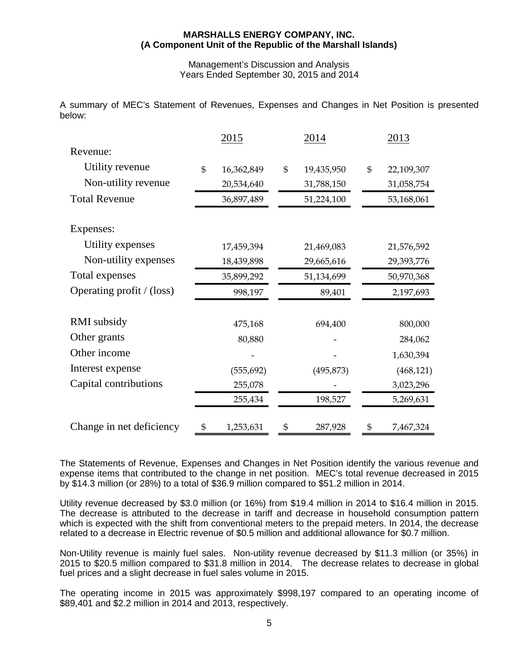# Management's Discussion and Analysis Years Ended September 30, 2015 and 2014

A summary of MEC's Statement of Revenues, Expenses and Changes in Net Position is presented below:

|                            |                | 2015       | 2014             | 2013             |
|----------------------------|----------------|------------|------------------|------------------|
| Revenue:                   |                |            |                  |                  |
| Utility revenue            | $\mathfrak{S}$ | 16,362,849 | \$<br>19,435,950 | \$<br>22,109,307 |
| Non-utility revenue        |                | 20,534,640 | 31,788,150       | 31,058,754       |
| <b>Total Revenue</b>       |                | 36,897,489 | 51,224,100       | 53,168,061       |
| Expenses:                  |                |            |                  |                  |
| Utility expenses           |                | 17,459,394 | 21,469,083       | 21,576,592       |
| Non-utility expenses       |                | 18,439,898 | 29,665,616       | 29,393,776       |
| Total expenses             |                | 35,899,292 | 51,134,699       | 50,970,368       |
| Operating profit $/(loss)$ |                | 998,197    | 89,401           | 2,197,693        |
| RMI subsidy                |                | 475,168    | 694,400          | 800,000          |
| Other grants               |                | 80,880     |                  | 284,062          |
| Other income               |                |            |                  | 1,630,394        |
| Interest expense           |                | (555, 692) | (495, 873)       | (468, 121)       |
| Capital contributions      |                | 255,078    |                  | 3,023,296        |
|                            |                | 255,434    | 198,527          | 5,269,631        |
| Change in net deficiency   | \$             | 1,253,631  | \$<br>287,928    | \$<br>7,467,324  |

The Statements of Revenue, Expenses and Changes in Net Position identify the various revenue and expense items that contributed to the change in net position. MEC's total revenue decreased in 2015 by \$14.3 million (or 28%) to a total of \$36.9 million compared to \$51.2 million in 2014.

Utility revenue decreased by \$3.0 million (or 16%) from \$19.4 million in 2014 to \$16.4 million in 2015. The decrease is attributed to the decrease in tariff and decrease in household consumption pattern which is expected with the shift from conventional meters to the prepaid meters. In 2014, the decrease related to a decrease in Electric revenue of \$0.5 million and additional allowance for \$0.7 million.

Non-Utility revenue is mainly fuel sales. Non-utility revenue decreased by \$11.3 million (or 35%) in 2015 to \$20.5 million compared to \$31.8 million in 2014. The decrease relates to decrease in global fuel prices and a slight decrease in fuel sales volume in 2015.

The operating income in 2015 was approximately \$998,197 compared to an operating income of \$89,401 and \$2.2 million in 2014 and 2013, respectively.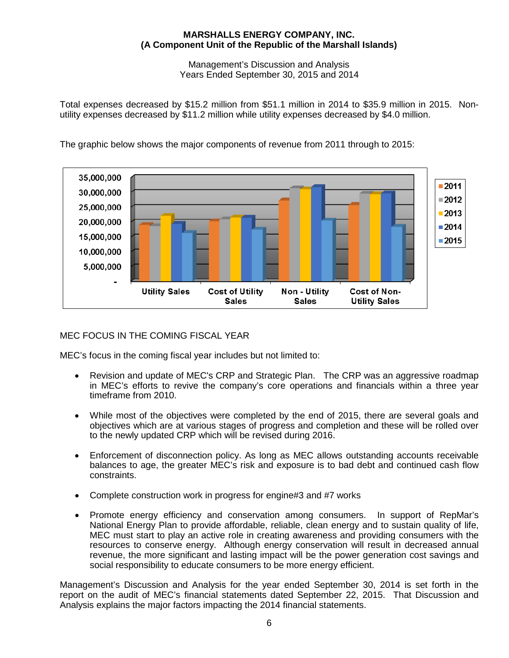Management's Discussion and Analysis Years Ended September 30, 2015 and 2014

Total expenses decreased by \$15.2 million from \$51.1 million in 2014 to \$35.9 million in 2015. Nonutility expenses decreased by \$11.2 million while utility expenses decreased by \$4.0 million.



The graphic below shows the major components of revenue from 2011 through to 2015:

# MEC FOCUS IN THE COMING FISCAL YEAR

MEC's focus in the coming fiscal year includes but not limited to:

- Revision and update of MEC's CRP and Strategic Plan. The CRP was an aggressive roadmap in MEC's efforts to revive the company's core operations and financials within a three year timeframe from 2010.
- While most of the objectives were completed by the end of 2015, there are several goals and objectives which are at various stages of progress and completion and these will be rolled over to the newly updated CRP which will be revised during 2016.
- Enforcement of disconnection policy. As long as MEC allows outstanding accounts receivable balances to age, the greater MEC's risk and exposure is to bad debt and continued cash flow constraints.
- Complete construction work in progress for engine#3 and #7 works
- Promote energy efficiency and conservation among consumers. In support of RepMar's National Energy Plan to provide affordable, reliable, clean energy and to sustain quality of life, MEC must start to play an active role in creating awareness and providing consumers with the resources to conserve energy. Although energy conservation will result in decreased annual revenue, the more significant and lasting impact will be the power generation cost savings and social responsibility to educate consumers to be more energy efficient.

Management's Discussion and Analysis for the year ended September 30, 2014 is set forth in the report on the audit of MEC's financial statements dated September 22, 2015. That Discussion and Analysis explains the major factors impacting the 2014 financial statements.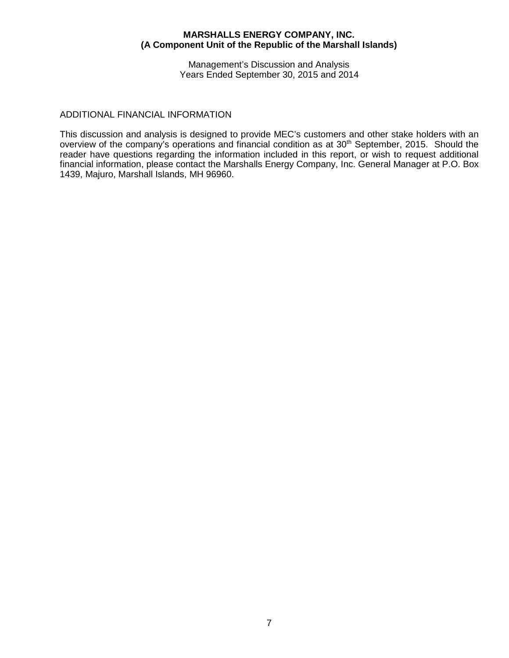Management's Discussion and Analysis Years Ended September 30, 2015 and 2014

# ADDITIONAL FINANCIAL INFORMATION

This discussion and analysis is designed to provide MEC's customers and other stake holders with an overview of the company's operations and financial condition as at 30<sup>th</sup> September, 2015. Should the reader have questions regarding the information included in this report, or wish to request additional financial information, please contact the Marshalls Energy Company, Inc. General Manager at P.O. Box 1439, Majuro, Marshall Islands, MH 96960.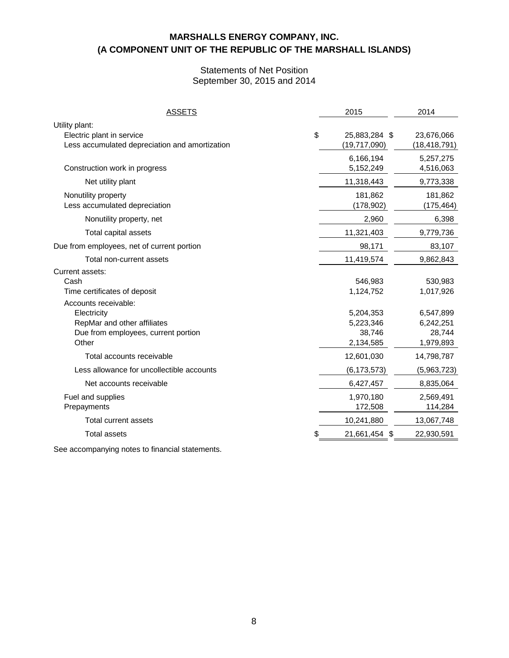# Statements of Net Position September 30, 2015 and 2014

| <b>ASSETS</b>                                                                                       | 2015                                          | 2014                                          |
|-----------------------------------------------------------------------------------------------------|-----------------------------------------------|-----------------------------------------------|
| Utility plant:<br>\$<br>Electric plant in service<br>Less accumulated depreciation and amortization | 25,883,284 \$<br>(19,717,090)                 | 23,676,066<br>(18, 418, 791)                  |
| Construction work in progress                                                                       | 6,166,194<br>5,152,249                        | 5,257,275<br>4,516,063                        |
| Net utility plant                                                                                   | 11,318,443                                    | 9,773,338                                     |
| Nonutility property<br>Less accumulated depreciation                                                | 181,862<br>(178, 902)                         | 181,862<br>(175, 464)                         |
| Nonutility property, net                                                                            | 2,960                                         | 6,398                                         |
| Total capital assets                                                                                | 11,321,403                                    | 9,779,736                                     |
| Due from employees, net of current portion                                                          | 98,171                                        | 83,107                                        |
| Total non-current assets                                                                            | 11,419,574                                    | 9,862,843                                     |
| Current assets:<br>Cash<br>Time certificates of deposit<br>Accounts receivable:                     | 546,983<br>1,124,752                          | 530,983<br>1,017,926                          |
| Electricity<br>RepMar and other affiliates<br>Due from employees, current portion<br>Other          | 5,204,353<br>5,223,346<br>38,746<br>2,134,585 | 6,547,899<br>6,242,251<br>28,744<br>1,979,893 |
| Total accounts receivable                                                                           | 12,601,030                                    | 14,798,787                                    |
| Less allowance for uncollectible accounts                                                           | (6, 173, 573)                                 | (5,963,723)                                   |
| Net accounts receivable                                                                             | 6,427,457                                     | 8,835,064                                     |
| Fuel and supplies<br>Prepayments                                                                    | 1,970,180<br>172,508                          | 2,569,491<br>114,284                          |
| Total current assets                                                                                | 10,241,880                                    | 13,067,748                                    |
| <b>Total assets</b><br>\$                                                                           | 21,661,454 \$                                 | 22,930,591                                    |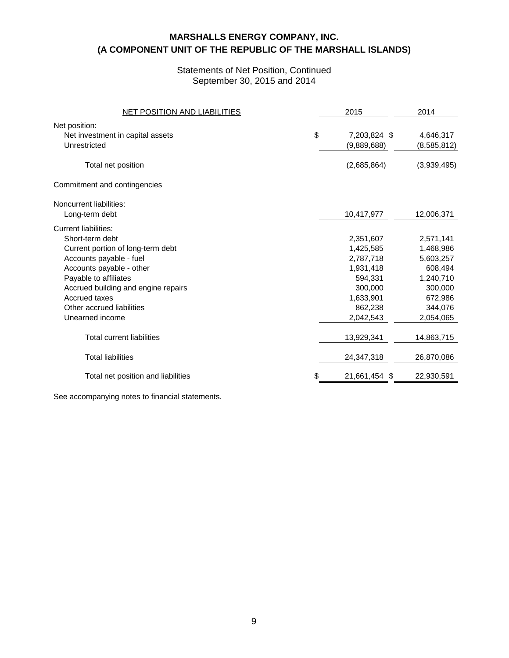# Statements of Net Position, Continued September 30, 2015 and 2014

| <b>NET POSITION AND LIABILITIES</b> | 2015                | 2014        |
|-------------------------------------|---------------------|-------------|
| Net position:                       |                     |             |
| Net investment in capital assets    | \$<br>7,203,824 \$  | 4,646,317   |
| Unrestricted                        | (9,889,688)         | (8,585,812) |
|                                     |                     |             |
| Total net position                  | (2,685,864)         | (3,939,495) |
| Commitment and contingencies        |                     |             |
| Noncurrent liabilities:             |                     |             |
| Long-term debt                      | 10,417,977          | 12,006,371  |
| <b>Current liabilities:</b>         |                     |             |
| Short-term debt                     | 2,351,607           | 2,571,141   |
| Current portion of long-term debt   | 1,425,585           | 1,468,986   |
| Accounts payable - fuel             | 2,787,718           | 5,603,257   |
| Accounts payable - other            | 1,931,418           | 608,494     |
| Payable to affiliates               | 594,331             | 1,240,710   |
| Accrued building and engine repairs | 300,000             | 300,000     |
| <b>Accrued taxes</b>                | 1,633,901           | 672,986     |
| Other accrued liabilities           | 862,238             | 344,076     |
| Unearned income                     | 2,042,543           | 2,054,065   |
| <b>Total current liabilities</b>    | 13,929,341          | 14,863,715  |
| <b>Total liabilities</b>            | 24,347,318          | 26,870,086  |
| Total net position and liabilities  | \$<br>21,661,454 \$ | 22,930,591  |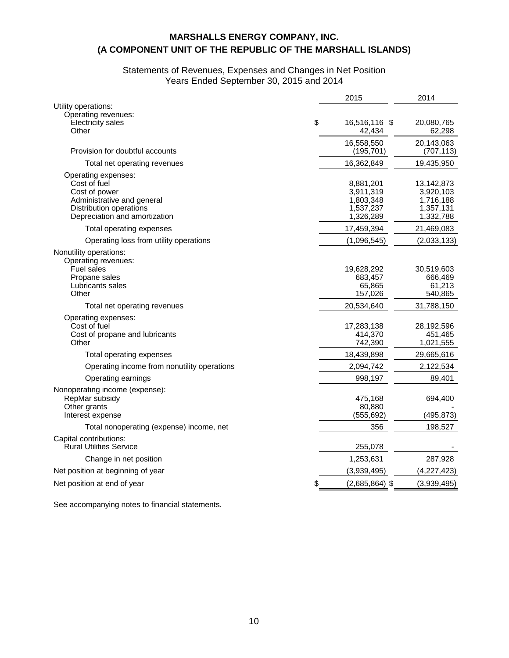# Statements of Revenues, Expenses and Changes in Net Position Years Ended September 30, 2015 and 2014

|                                                                                                                                                | 2015                                                          | 2014                                                           |
|------------------------------------------------------------------------------------------------------------------------------------------------|---------------------------------------------------------------|----------------------------------------------------------------|
| Utility operations:<br>Operating revenues:<br>Electricity sales<br>Other                                                                       | \$<br>16,516,116 \$<br>42,434                                 | 20,080,765<br>62,298                                           |
| Provision for doubtful accounts                                                                                                                | 16,558,550<br>(195, 701)                                      | 20,143,063<br>(707, 113)                                       |
| Total net operating revenues                                                                                                                   | 16,362,849                                                    | 19,435,950                                                     |
| Operating expenses:<br>Cost of fuel<br>Cost of power<br>Administrative and general<br>Distribution operations<br>Depreciation and amortization | 8,881,201<br>3,911,319<br>1,803,348<br>1,537,237<br>1,326,289 | 13,142,873<br>3,920,103<br>1,716,188<br>1,357,131<br>1,332,788 |
| Total operating expenses                                                                                                                       | 17,459,394                                                    | 21,469,083                                                     |
| Operating loss from utility operations                                                                                                         | (1,096,545)                                                   | (2,033,133)                                                    |
| Nonutility operations:<br>Operating revenues:<br>Fuel sales<br>Propane sales<br>Lubricants sales<br>Other                                      | 19,628,292<br>683,457<br>65,865<br>157,026                    | 30,519,603<br>666,469<br>61,213<br>540,865                     |
| Total net operating revenues                                                                                                                   | 20,534,640                                                    | 31,788,150                                                     |
| Operating expenses:<br>Cost of fuel<br>Cost of propane and lubricants<br>Other                                                                 | 17,283,138<br>414,370<br>742,390                              | 28,192,596<br>451,465<br>1,021,555                             |
| Total operating expenses                                                                                                                       | 18,439,898                                                    | 29,665,616                                                     |
| Operating income from nonutility operations                                                                                                    | 2,094,742                                                     | 2,122,534                                                      |
| Operating earnings                                                                                                                             | 998,197                                                       | 89,401                                                         |
| Nonoperating income (expense):<br>RepMar subsidy<br>Other grants<br>Interest expense                                                           | 475,168<br>80,880<br>(555, 692)                               | 694,400<br>(495, 873)                                          |
| Total nonoperating (expense) income, net                                                                                                       | 356                                                           | 198,527                                                        |
| Capital contributions:<br><b>Rural Utilities Service</b>                                                                                       | 255,078                                                       |                                                                |
| Change in net position                                                                                                                         | 1,253,631                                                     | 287,928                                                        |
| Net position at beginning of year                                                                                                              | (3,939,495)                                                   | (4,227,423)                                                    |
| Net position at end of year                                                                                                                    | \$<br>$(2,685,864)$ \$                                        | (3,939,495)                                                    |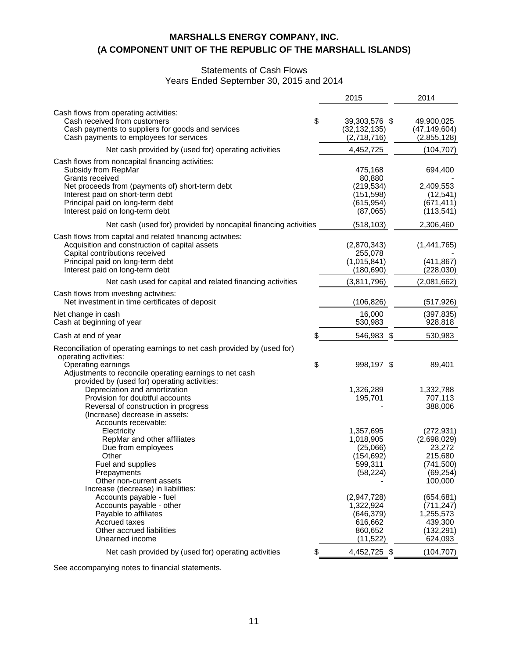# Statements of Cash Flows Years Ended September 30, 2015 and 2014

|                                                                                                                                                                                                                                                          | 2015                                                                      | 2014                                                                                 |
|----------------------------------------------------------------------------------------------------------------------------------------------------------------------------------------------------------------------------------------------------------|---------------------------------------------------------------------------|--------------------------------------------------------------------------------------|
| Cash flows from operating activities:<br>Cash received from customers<br>\$<br>Cash payments to suppliers for goods and services<br>Cash payments to employees for services                                                                              | 39,303,576 \$<br>(32, 132, 135)<br>(2,718,716)                            | 49,900,025<br>(47, 149, 604)<br>(2,855,128)                                          |
| Net cash provided by (used for) operating activities                                                                                                                                                                                                     | 4,452,725                                                                 | (104, 707)                                                                           |
| Cash flows from noncapital financing activities:<br>Subsidy from RepMar<br>Grants received<br>Net proceeds from (payments of) short-term debt<br>Interest paid on short-term debt<br>Principal paid on long-term debt<br>Interest paid on long-term debt | 475,168<br>80,880<br>(219, 534)<br>(151,598)<br>(615, 954)<br>(87,065)    | 694,400<br>2,409,553<br>(12, 541)<br>(671, 411)<br>(113, 541)                        |
| Net cash (used for) provided by noncapital financing activities                                                                                                                                                                                          | (518, 103)                                                                | 2,306,460                                                                            |
| Cash flows from capital and related financing activities:<br>Acquisition and construction of capital assets<br>Capital contributions received<br>Principal paid on long-term debt<br>Interest paid on long-term debt                                     | (2,870,343)<br>255,078<br>(1,015,841)<br>(180, 690)                       | (1,441,765)<br>(411, 867)<br>(228,030)                                               |
| Net cash used for capital and related financing activities                                                                                                                                                                                               | (3,811,796)                                                               | (2,081,662)                                                                          |
| Cash flows from investing activities:<br>Net investment in time certificates of deposit<br>Net change in cash                                                                                                                                            | (106, 826)<br>16,000                                                      | (517, 926)<br>(397, 835)                                                             |
| Cash at beginning of year                                                                                                                                                                                                                                | 530,983                                                                   | 928,818                                                                              |
| Cash at end of year<br>S                                                                                                                                                                                                                                 | 546,983 \$                                                                | 530,983                                                                              |
| Reconciliation of operating earnings to net cash provided by (used for)<br>operating activities:<br>Operating earnings<br>\$<br>Adjustments to reconcile operating earnings to net cash<br>provided by (used for) operating activities:                  | 998,197 \$                                                                | 89,401                                                                               |
| Depreciation and amortization<br>Provision for doubtful accounts<br>Reversal of construction in progress<br>(Increase) decrease in assets:<br>Accounts receivable:                                                                                       | 1,326,289<br>195,701                                                      | 1,332,788<br>707,113<br>388,006                                                      |
| Electricity<br>RepMar and other affiliates<br>Due from employees<br>Other<br>Fuel and supplies<br>Prepayments<br>Other non-current assets<br>Increase (decrease) in liabilities:                                                                         | 1,357,695<br>1,018,905<br>(25,066)<br>(154, 692)<br>599,311<br>(58, 224)  | (272, 931)<br>(2,698,029)<br>23,272<br>215,680<br>(741, 500)<br>(69, 254)<br>100,000 |
| Accounts payable - fuel<br>Accounts payable - other<br>Payable to affiliates<br>Accrued taxes<br>Other accrued liabilities<br>Unearned income                                                                                                            | (2,947,728)<br>1,322,924<br>(646, 379)<br>616,662<br>860,652<br>(11, 522) | (654, 681)<br>(711, 247)<br>1,255,573<br>439,300<br>(132, 291)<br>624,093            |
| Net cash provided by (used for) operating activities<br>\$                                                                                                                                                                                               | 4,452,725 \$                                                              | (104, 707)                                                                           |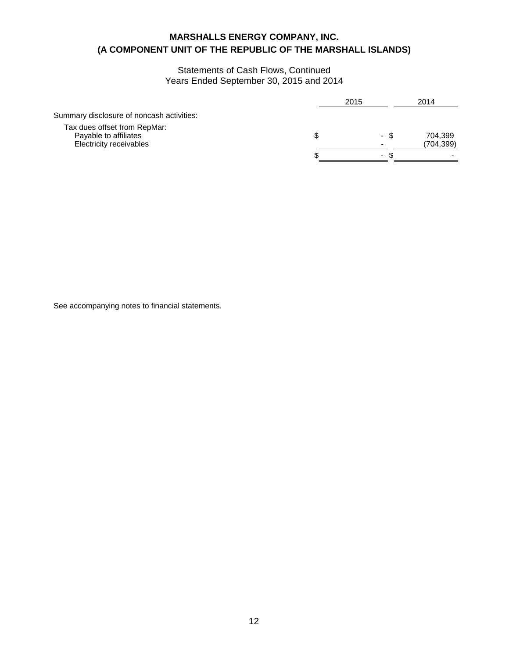# Statements of Cash Flows, Continued Years Ended September 30, 2015 and 2014

|                                                                                  |   | 2015 | 2014                  |
|----------------------------------------------------------------------------------|---|------|-----------------------|
| Summary disclosure of noncash activities:                                        |   |      |                       |
| Tax dues offset from RepMar:<br>Payable to affiliates<br>Electricity receivables | S | - \$ | 704,399<br>(704, 399) |
|                                                                                  | ъ | - 35 |                       |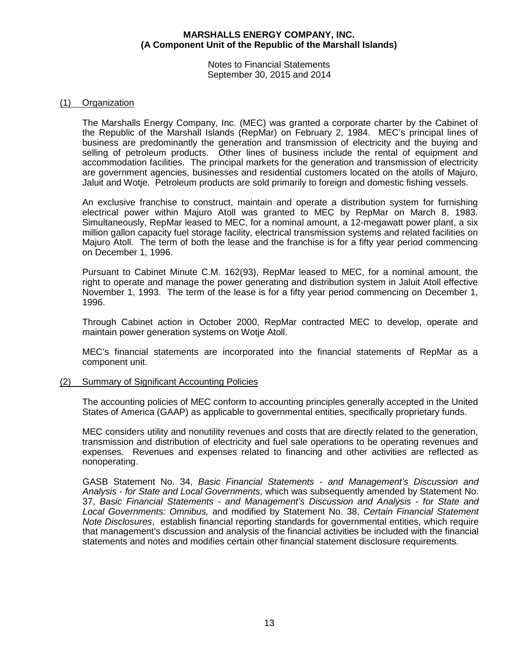Notes to Financial Statements September 30, 2015 and 2014

#### (1) Organization

The Marshalls Energy Company, Inc. (MEC) was granted a corporate charter by the Cabinet of the Republic of the Marshall Islands (RepMar) on February 2, 1984. MEC's principal lines of business are predominantly the generation and transmission of electricity and the buying and selling of petroleum products. Other lines of business include the rental of equipment and accommodation facilities. The principal markets for the generation and transmission of electricity are government agencies, businesses and residential customers located on the atolls of Majuro, Jaluit and Wotje. Petroleum products are sold primarily to foreign and domestic fishing vessels.

An exclusive franchise to construct, maintain and operate a distribution system for furnishing electrical power within Majuro Atoll was granted to MEC by RepMar on March 8, 1983. Simultaneously, RepMar leased to MEC, for a nominal amount, a 12-megawatt power plant, a six million gallon capacity fuel storage facility, electrical transmission systems and related facilities on Majuro Atoll. The term of both the lease and the franchise is for a fifty year period commencing on December 1, 1996.

Pursuant to Cabinet Minute C.M. 162(93), RepMar leased to MEC, for a nominal amount, the right to operate and manage the power generating and distribution system in Jaluit Atoll effective November 1, 1993. The term of the lease is for a fifty year period commencing on December 1, 1996.

Through Cabinet action in October 2000, RepMar contracted MEC to develop, operate and maintain power generation systems on Wotje Atoll.

MEC's financial statements are incorporated into the financial statements of RepMar as a component unit.

#### (2) Summary of Significant Accounting Policies

The accounting policies of MEC conform to accounting principles generally accepted in the United States of America (GAAP) as applicable to governmental entities, specifically proprietary funds.

MEC considers utility and nonutility revenues and costs that are directly related to the generation, transmission and distribution of electricity and fuel sale operations to be operating revenues and expenses. Revenues and expenses related to financing and other activities are reflected as nonoperating.

GASB Statement No. 34, *Basic Financial Statements - and Management's Discussion and Analysis - for State and Local Governments*, which was subsequently amended by Statement No. 37, *Basic Financial Statements - and Management's Discussion and Analysis - for State and Local Governments: Omnibus,* and modified by Statement No. 38, *Certain Financial Statement Note Disclosures*, establish financial reporting standards for governmental entities, which require that management's discussion and analysis of the financial activities be included with the financial statements and notes and modifies certain other financial statement disclosure requirements.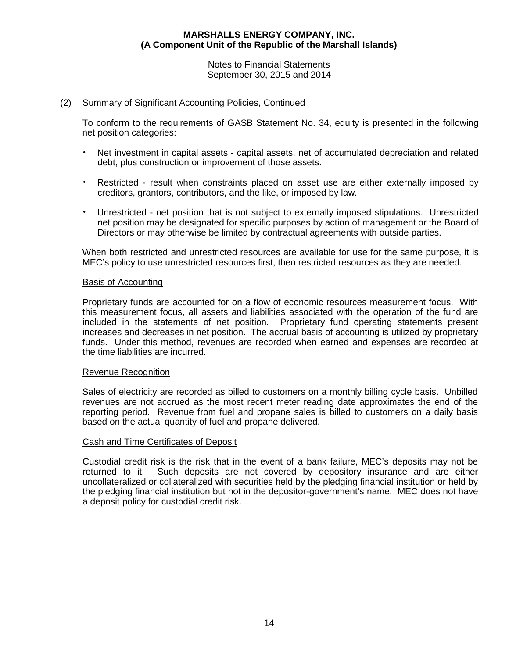Notes to Financial Statements September 30, 2015 and 2014

### (2) Summary of Significant Accounting Policies, Continued

To conform to the requirements of GASB Statement No. 34, equity is presented in the following net position categories:

- Net investment in capital assets capital assets, net of accumulated depreciation and related debt, plus construction or improvement of those assets.
- Restricted result when constraints placed on asset use are either externally imposed by creditors, grantors, contributors, and the like, or imposed by law.
- Unrestricted net position that is not subject to externally imposed stipulations. Unrestricted net position may be designated for specific purposes by action of management or the Board of Directors or may otherwise be limited by contractual agreements with outside parties.

When both restricted and unrestricted resources are available for use for the same purpose, it is MEC's policy to use unrestricted resources first, then restricted resources as they are needed.

#### Basis of Accounting

Proprietary funds are accounted for on a flow of economic resources measurement focus. With this measurement focus, all assets and liabilities associated with the operation of the fund are included in the statements of net position. Proprietary fund operating statements present increases and decreases in net position. The accrual basis of accounting is utilized by proprietary funds. Under this method, revenues are recorded when earned and expenses are recorded at the time liabilities are incurred.

#### Revenue Recognition

Sales of electricity are recorded as billed to customers on a monthly billing cycle basis. Unbilled revenues are not accrued as the most recent meter reading date approximates the end of the reporting period. Revenue from fuel and propane sales is billed to customers on a daily basis based on the actual quantity of fuel and propane delivered.

# Cash and Time Certificates of Deposit

Custodial credit risk is the risk that in the event of a bank failure, MEC's deposits may not be returned to it. Such deposits are not covered by depository insurance and are either uncollateralized or collateralized with securities held by the pledging financial institution or held by the pledging financial institution but not in the depositor-government's name. MEC does not have a deposit policy for custodial credit risk.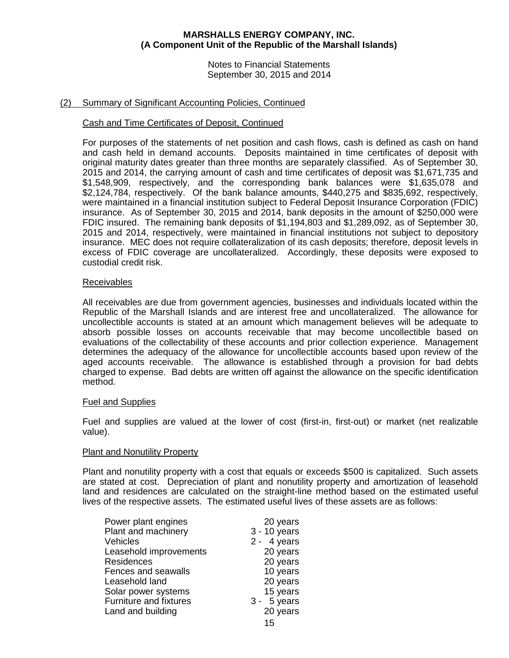Notes to Financial Statements September 30, 2015 and 2014

# (2) Summary of Significant Accounting Policies, Continued

# Cash and Time Certificates of Deposit, Continued

For purposes of the statements of net position and cash flows, cash is defined as cash on hand and cash held in demand accounts. Deposits maintained in time certificates of deposit with original maturity dates greater than three months are separately classified. As of September 30, 2015 and 2014, the carrying amount of cash and time certificates of deposit was \$1,671,735 and \$1,548,909, respectively, and the corresponding bank balances were \$1,635,078 and \$2,124,784, respectively. Of the bank balance amounts, \$440,275 and \$835,692, respectively, were maintained in a financial institution subject to Federal Deposit Insurance Corporation (FDIC) insurance. As of September 30, 2015 and 2014, bank deposits in the amount of \$250,000 were FDIC insured. The remaining bank deposits of \$1,194,803 and \$1,289,092, as of September 30, 2015 and 2014, respectively, were maintained in financial institutions not subject to depository insurance. MEC does not require collateralization of its cash deposits; therefore, deposit levels in excess of FDIC coverage are uncollateralized. Accordingly, these deposits were exposed to custodial credit risk.

#### Receivables

All receivables are due from government agencies, businesses and individuals located within the Republic of the Marshall Islands and are interest free and uncollateralized. The allowance for uncollectible accounts is stated at an amount which management believes will be adequate to absorb possible losses on accounts receivable that may become uncollectible based on evaluations of the collectability of these accounts and prior collection experience. Management determines the adequacy of the allowance for uncollectible accounts based upon review of the aged accounts receivable. The allowance is established through a provision for bad debts charged to expense. Bad debts are written off against the allowance on the specific identification method.

# Fuel and Supplies

Fuel and supplies are valued at the lower of cost (first-in, first-out) or market (net realizable value).

#### Plant and Nonutility Property

Plant and nonutility property with a cost that equals or exceeds \$500 is capitalized. Such assets are stated at cost. Depreciation of plant and nonutility property and amortization of leasehold land and residences are calculated on the straight-line method based on the estimated useful lives of the respective assets. The estimated useful lives of these assets are as follows:

| Power plant engines           | 20 years       |
|-------------------------------|----------------|
| Plant and machinery           | 3 - 10 years   |
| <b>Vehicles</b>               | $2 - 4$ years  |
| Leasehold improvements        | 20 years       |
| <b>Residences</b>             | 20 years       |
| Fences and seawalls           | 10 years       |
| Leasehold land                | 20 years       |
| Solar power systems           | 15 years       |
| <b>Furniture and fixtures</b> | $3 - 5$ years  |
| Land and building             | 20 years       |
|                               | $\overline{ }$ |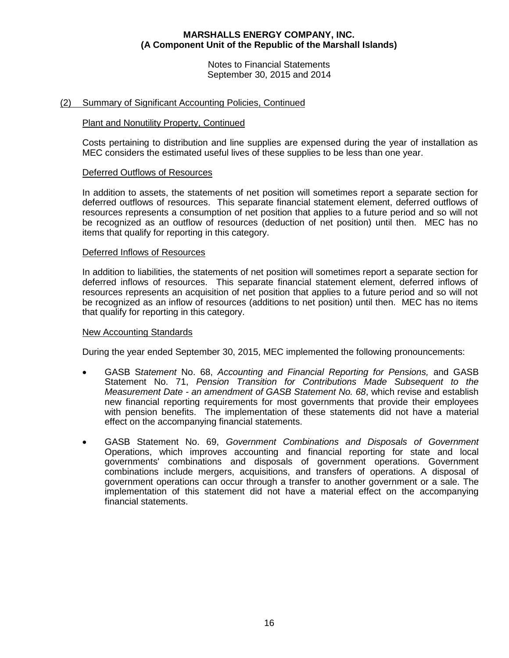Notes to Financial Statements September 30, 2015 and 2014

# (2) Summary of Significant Accounting Policies, Continued

# Plant and Nonutility Property, Continued

Costs pertaining to distribution and line supplies are expensed during the year of installation as MEC considers the estimated useful lives of these supplies to be less than one year.

# Deferred Outflows of Resources

In addition to assets, the statements of net position will sometimes report a separate section for deferred outflows of resources. This separate financial statement element, deferred outflows of resources represents a consumption of net position that applies to a future period and so will not be recognized as an outflow of resources (deduction of net position) until then. MEC has no items that qualify for reporting in this category.

#### Deferred Inflows of Resources

In addition to liabilities, the statements of net position will sometimes report a separate section for deferred inflows of resources. This separate financial statement element, deferred inflows of resources represents an acquisition of net position that applies to a future period and so will not be recognized as an inflow of resources (additions to net position) until then. MEC has no items that qualify for reporting in this category.

### New Accounting Standards

During the year ended September 30, 2015, MEC implemented the following pronouncements:

- GASB S*tatement* No. 68, *Accounting and Financial Reporting for Pensions,* and GASB Statement No. 71, *Pension Transition for Contributions Made Subsequent to the Measurement Date - an amendment of GASB Statement No. 68*, which revise and establish new financial reporting requirements for most governments that provide their employees with pension benefits. The implementation of these statements did not have a material effect on the accompanying financial statements.
- GASB Statement No. 69, *Government Combinations and Disposals of Government*  Operations, which improves accounting and financial reporting for state and local governments' combinations and disposals of government operations. Government combinations include mergers, acquisitions, and transfers of operations. A disposal of government operations can occur through a transfer to another government or a sale. The implementation of this statement did not have a material effect on the accompanying financial statements.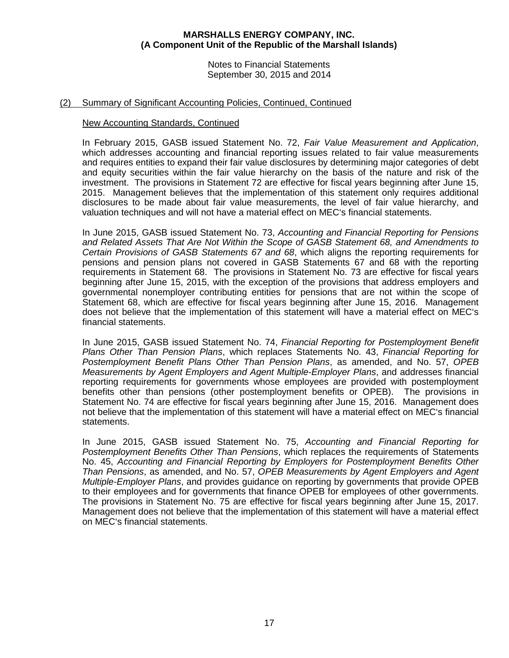Notes to Financial Statements September 30, 2015 and 2014

# (2) Summary of Significant Accounting Policies, Continued, Continued

# New Accounting Standards, Continued

In February 2015, GASB issued Statement No. 72, *Fair Value Measurement and Application*, which addresses accounting and financial reporting issues related to fair value measurements and requires entities to expand their fair value disclosures by determining major categories of debt and equity securities within the fair value hierarchy on the basis of the nature and risk of the investment. The provisions in Statement 72 are effective for fiscal years beginning after June 15, 2015. Management believes that the implementation of this statement only requires additional disclosures to be made about fair value measurements, the level of fair value hierarchy, and valuation techniques and will not have a material effect on MEC's financial statements.

In June 2015, GASB issued Statement No. 73, *Accounting and Financial Reporting for Pensions and Related Assets That Are Not Within the Scope of GASB Statement 68, and Amendments to Certain Provisions of GASB Statements 67 and 68*, which aligns the reporting requirements for pensions and pension plans not covered in GASB Statements 67 and 68 with the reporting requirements in Statement 68. The provisions in Statement No. 73 are effective for fiscal years beginning after June 15, 2015, with the exception of the provisions that address employers and governmental nonemployer contributing entities for pensions that are not within the scope of Statement 68, which are effective for fiscal years beginning after June 15, 2016. Management does not believe that the implementation of this statement will have a material effect on MEC's financial statements.

In June 2015, GASB issued Statement No. 74, *Financial Reporting for Postemployment Benefit Plans Other Than Pension Plans*, which replaces Statements No. 43, *Financial Reporting for Postemployment Benefit Plans Other Than Pension Plans*, as amended, and No. 57, *OPEB Measurements by Agent Employers and Agent Multiple-Employer Plans*, and addresses financial reporting requirements for governments whose employees are provided with postemployment benefits other than pensions (other postemployment benefits or OPEB). The provisions in Statement No. 74 are effective for fiscal years beginning after June 15, 2016. Management does not believe that the implementation of this statement will have a material effect on MEC's financial statements.

In June 2015, GASB issued Statement No. 75, *Accounting and Financial Reporting for Postemployment Benefits Other Than Pensions*, which replaces the requirements of Statements No. 45, *Accounting and Financial Reporting by Employers for Postemployment Benefits Other Than Pensions*, as amended, and No. 57, *OPEB Measurements by Agent Employers and Agent Multiple-Employer Plans*, and provides guidance on reporting by governments that provide OPEB to their employees and for governments that finance OPEB for employees of other governments. The provisions in Statement No. 75 are effective for fiscal years beginning after June 15, 2017. Management does not believe that the implementation of this statement will have a material effect on MEC's financial statements.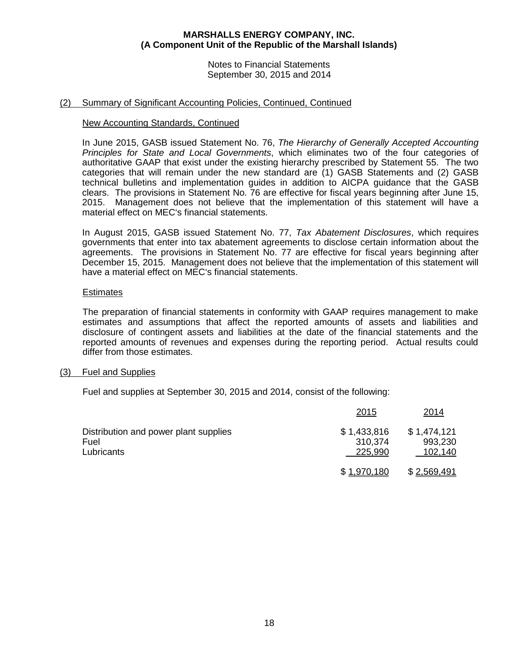Notes to Financial Statements September 30, 2015 and 2014

# (2) Summary of Significant Accounting Policies, Continued, Continued

# New Accounting Standards, Continued

In June 2015, GASB issued Statement No. 76, *The Hierarchy of Generally Accepted Accounting Principles for State and Local Governments*, which eliminates two of the four categories of authoritative GAAP that exist under the existing hierarchy prescribed by Statement 55. The two categories that will remain under the new standard are (1) GASB Statements and (2) GASB technical bulletins and implementation guides in addition to AICPA guidance that the GASB clears. The provisions in Statement No. 76 are effective for fiscal years beginning after June 15, 2015. Management does not believe that the implementation of this statement will have a material effect on MEC's financial statements.

In August 2015, GASB issued Statement No. 77, *Tax Abatement Disclosures*, which requires governments that enter into tax abatement agreements to disclose certain information about the agreements. The provisions in Statement No. 77 are effective for fiscal years beginning after December 15, 2015. Management does not believe that the implementation of this statement will have a material effect on MEC's financial statements.

# **Estimates**

The preparation of financial statements in conformity with GAAP requires management to make estimates and assumptions that affect the reported amounts of assets and liabilities and disclosure of contingent assets and liabilities at the date of the financial statements and the reported amounts of revenues and expenses during the reporting period. Actual results could differ from those estimates.

# (3) Fuel and Supplies

Fuel and supplies at September 30, 2015 and 2014, consist of the following:

|                                                             | 2015                              | 2014                              |
|-------------------------------------------------------------|-----------------------------------|-----------------------------------|
| Distribution and power plant supplies<br>Fuel<br>Lubricants | \$1,433,816<br>310,374<br>225,990 | \$1,474,121<br>993,230<br>102,140 |
|                                                             | \$1,970,180                       | \$2,569,491                       |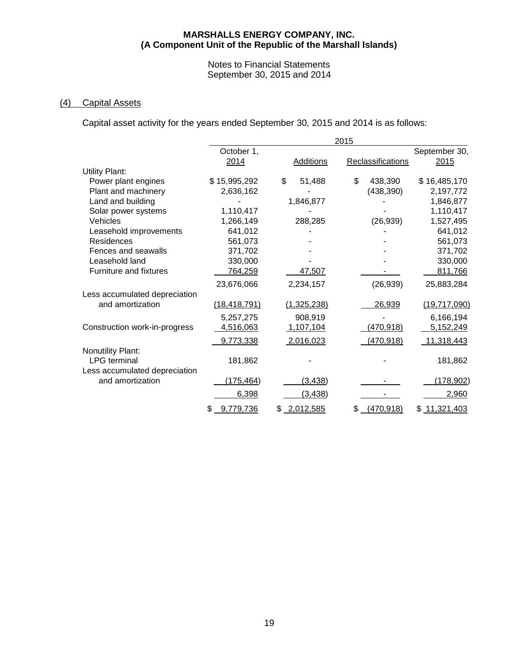Notes to Financial Statements September 30, 2015 and 2014

# (4) Capital Assets

Capital asset activity for the years ended September 30, 2015 and 2014 is as follows:

|                               |                |              | 2015              |               |
|-------------------------------|----------------|--------------|-------------------|---------------|
|                               | October 1,     |              |                   | September 30, |
|                               | 2014           | Additions    | Reclassifications | 2015          |
| <b>Utility Plant:</b>         |                |              |                   |               |
| Power plant engines           | \$15,995,292   | \$<br>51,488 | \$<br>438,390     | \$16,485,170  |
| Plant and machinery           | 2,636,162      |              | (438, 390)        | 2,197,772     |
| Land and building             |                | 1,846,877    |                   | 1,846,877     |
| Solar power systems           | 1,110,417      |              |                   | 1,110,417     |
| Vehicles                      | 1,266,149      | 288,285      | (26, 939)         | 1,527,495     |
| Leasehold improvements        | 641,012        |              |                   | 641,012       |
| Residences                    | 561,073        |              |                   | 561,073       |
| Fences and seawalls           | 371,702        |              |                   | 371,702       |
| Leasehold land                | 330,000        |              |                   | 330,000       |
| <b>Furniture and fixtures</b> | 764,259        | 47,507       |                   | 811,766       |
|                               | 23,676,066     | 2,234,157    | (26, 939)         | 25,883,284    |
| Less accumulated depreciation |                |              |                   |               |
| and amortization              | (18, 418, 791) | (1,325,238)  | 26,939            | (19,717,090)  |
|                               | 5,257,275      | 908,919      |                   | 6,166,194     |
| Construction work-in-progress | 4,516,063      | 1,107,104    | (470, 918)        | 5,152,249     |
|                               | 9,773,338      | 2,016,023    | (470, 918)        | 11,318,443    |
| <b>Nonutility Plant:</b>      |                |              |                   |               |
| <b>LPG</b> terminal           | 181,862        |              |                   | 181,862       |
| Less accumulated depreciation |                |              |                   |               |
| and amortization              | (175, 464)     | (3, 438)     |                   | (178, 902)    |
|                               | 6,398          | (3, 438)     |                   | 2,960         |
|                               | 9,779,736      | \$2,012,585  | (470, 918)        | \$11,321,403  |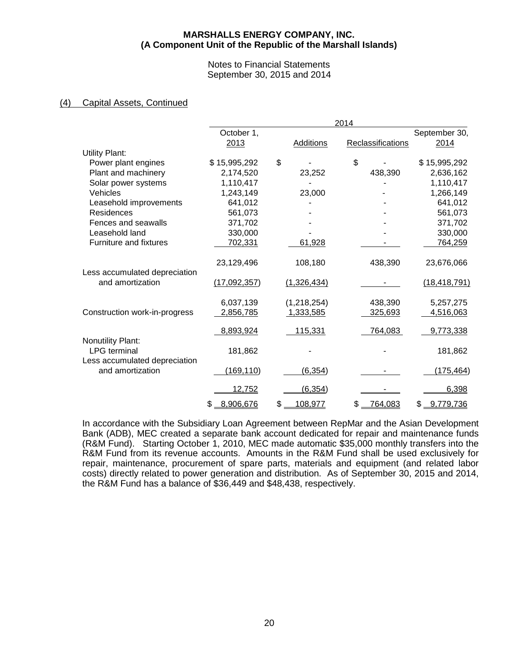Notes to Financial Statements September 30, 2015 and 2014

### (4) Capital Assets, Continued

|                                                                           |                 |               | 2014 |                   |                 |
|---------------------------------------------------------------------------|-----------------|---------------|------|-------------------|-----------------|
|                                                                           | October 1,      |               |      |                   | September 30,   |
|                                                                           | 2013            | Additions     |      | Reclassifications | 2014            |
| <b>Utility Plant:</b>                                                     |                 |               |      |                   |                 |
| Power plant engines                                                       | \$15,995,292    | \$            | \$   |                   | \$15,995,292    |
| Plant and machinery                                                       | 2,174,520       | 23,252        |      | 438,390           | 2,636,162       |
| Solar power systems                                                       | 1,110,417       |               |      |                   | 1,110,417       |
| Vehicles                                                                  | 1,243,149       | 23,000        |      |                   | 1,266,149       |
| Leasehold improvements                                                    | 641,012         |               |      |                   | 641,012         |
| <b>Residences</b>                                                         | 561,073         |               |      |                   | 561,073         |
| Fences and seawalls                                                       | 371,702         |               |      |                   | 371,702         |
| Leasehold land                                                            | 330,000         |               |      |                   | 330,000         |
| Furniture and fixtures                                                    | 702,331         | 61,928        |      |                   | 764,259         |
|                                                                           | 23,129,496      | 108,180       |      | 438,390           | 23,676,066      |
| Less accumulated depreciation<br>and amortization                         | (17,092,357)    | (1,326,434)   |      |                   | (18, 418, 791)  |
|                                                                           | 6,037,139       | (1,218,254)   |      | 438,390           | 5,257,275       |
| Construction work-in-progress                                             | 2,856,785       | 1,333,585     |      | 325,693           | 4,516,063       |
|                                                                           | 8,893,924       | 115,331       |      | 764,083           | 9,773,338       |
| Nonutility Plant:<br><b>LPG</b> terminal<br>Less accumulated depreciation | 181,862         |               |      |                   | 181,862         |
| and amortization                                                          | (169, 110)      | (6, 354)      |      |                   | (175, 464)      |
|                                                                           | 12,752          | (6, 354)      |      |                   | 6,398           |
|                                                                           | 8,906,676<br>\$ | \$<br>108,977 | \$   | 764,083           | 9,779,736<br>\$ |

In accordance with the Subsidiary Loan Agreement between RepMar and the Asian Development Bank (ADB), MEC created a separate bank account dedicated for repair and maintenance funds (R&M Fund). Starting October 1, 2010, MEC made automatic \$35,000 monthly transfers into the R&M Fund from its revenue accounts. Amounts in the R&M Fund shall be used exclusively for repair, maintenance, procurement of spare parts, materials and equipment (and related labor costs) directly related to power generation and distribution. As of September 30, 2015 and 2014, the R&M Fund has a balance of \$36,449 and \$48,438, respectively.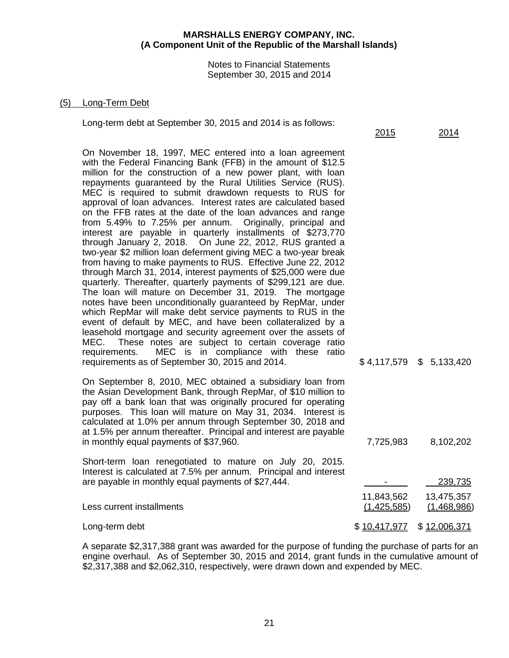Notes to Financial Statements September 30, 2015 and 2014

#### (5) Long-Term Debt

Long-term debt at September 30, 2015 and 2014 is as follows:

On November 18, 1997, MEC entered into a loan agreement with the Federal Financing Bank (FFB) in the amount of \$12.5 million for the construction of a new power plant, with loan repayments guaranteed by the Rural Utilities Service (RUS). MEC is required to submit drawdown requests to RUS for approval of loan advances. Interest rates are calculated based on the FFB rates at the date of the loan advances and range from 5.49% to 7.25% per annum. Originally, principal and interest are payable in quarterly installments of \$273,770 through January 2, 2018. On June 22, 2012, RUS granted a two-year \$2 million loan deferment giving MEC a two-year break from having to make payments to RUS. Effective June 22, 2012 through March 31, 2014, interest payments of \$25,000 were due quarterly. Thereafter, quarterly payments of \$299,121 are due. The loan will mature on December 31, 2019. The mortgage notes have been unconditionally guaranteed by RepMar, under which RepMar will make debt service payments to RUS in the event of default by MEC, and have been collateralized by a leasehold mortgage and security agreement over the assets of MEC. These notes are subject to certain coverage ratio requirements. MEC is in compliance with these ratio MEC is in compliance with these ratio requirements as of September 30, 2015 and 2014. \$ 4,117,579 \$ 5,133,420

On September 8, 2010, MEC obtained a subsidiary loan from the Asian Development Bank, through RepMar, of \$10 million to pay off a bank loan that was originally procured for operating purposes. This loan will mature on May 31, 2034. Interest is calculated at 1.0% per annum through September 30, 2018 and at 1.5% per annum thereafter. Principal and interest are payable in monthly equal payments of \$37,960. The matrix of  $\frac{1}{2}$  and  $\frac{1}{2}$  and  $\frac{1}{2}$  and  $\frac{1}{2}$  and  $\frac{1}{2}$  and  $\frac{1}{2}$  and  $\frac{1}{2}$  and  $\frac{1}{2}$  and  $\frac{1}{2}$  and  $\frac{1}{2}$  and  $\frac{1}{2}$  and  $\frac{1}{2}$  and  $\$ 

Short-term loan renegotiated to mature on July 20, 2015. Interest is calculated at 7.5% per annum. Principal and interest

are payable in monthly equal payments of \$27,444. 11,843,562 13,475,357 Less current installments (1,425,585) (1,468,986) Long-term debt  $$ 10,417,977 \quad $ 12,006,371$ 

A separate \$2,317,388 grant was awarded for the purpose of funding the purchase of parts for an engine overhaul. As of September 30, 2015 and 2014, grant funds in the cumulative amount of \$2,317,388 and \$2,062,310, respectively, were drawn down and expended by MEC.

2015 2014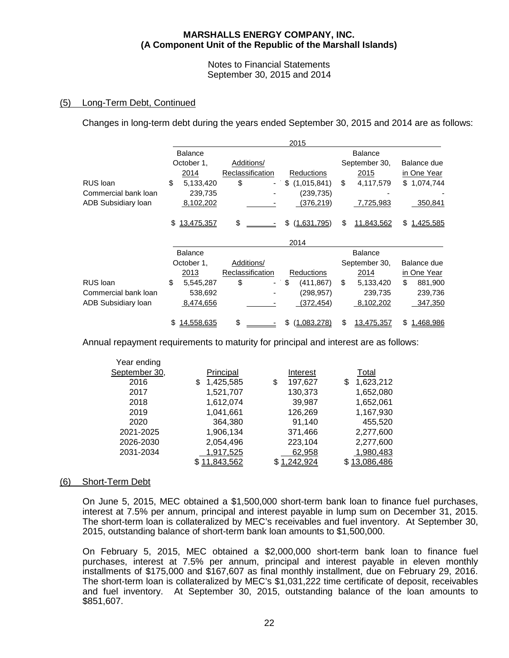Notes to Financial Statements September 30, 2015 and 2014

# (5) Long-Term Debt, Continued

Changes in long-term debt during the years ended September 30, 2015 and 2014 are as follows:

|                      |                 |                  | 2015               |                         |                 |
|----------------------|-----------------|------------------|--------------------|-------------------------|-----------------|
|                      | <b>Balance</b>  |                  |                    | <b>Balance</b>          |                 |
|                      | October 1,      | Additions/       |                    | September 30,           | Balance due     |
|                      | 2014            | Reclassification | Reductions         | 2015                    | in One Year     |
| RUS Ioan             | \$<br>5,133,420 | \$               | $-$ \$ (1,015,841) | \$<br>4,117,579         | \$1,074,744     |
| Commercial bank loan | 239,735         |                  | (239, 735)         |                         |                 |
| ADB Subsidiary Ioan  | 8,102,202       |                  | (376, 219)         | 7,725,983               | 350,841         |
|                      | \$13,475,357    | \$               | (1,631,795)<br>\$  | \$<br><u>11,843,562</u> | \$1,425,585     |
|                      |                 |                  | 2014               |                         |                 |
|                      | <b>Balance</b>  |                  |                    | <b>Balance</b>          |                 |
|                      | October 1,      | Additions/       |                    | September 30,           | Balance due     |
|                      | 2013            | Reclassification | <b>Reductions</b>  | 2014                    | in One Year     |
| RUS Ioan             | \$<br>5,545,287 | \$               | \$<br>(411, 867)   | \$<br>5,133,420         | \$<br>881,900   |
| Commercial bank loan | 538,692         |                  | (298, 957)         | 239,735                 | 239,736         |
| ADB Subsidiary loan  | 8,474,656       |                  | (372, 454)         | 8,102,202               | 347,350         |
|                      | 14,558,635<br>S | \$               | (1,083,278)<br>\$  | 13,475,357<br>S         | 1,468,986<br>\$ |

Annual repayment requirements to maturity for principal and interest are as follows:

| Year ending   |                  |               |                |
|---------------|------------------|---------------|----------------|
| September 30, | Principal        | Interest      | Total          |
| 2016          | 1,425,585<br>\$. | 197,627<br>\$ | 1,623,212<br>S |
| 2017          | 1,521,707        | 130,373       | 1,652,080      |
| 2018          | 1,612,074        | 39,987        | 1,652,061      |
| 2019          | 1,041,661        | 126,269       | 1,167,930      |
| 2020          | 364,380          | 91.140        | 455,520        |
| 2021-2025     | 1,906,134        | 371,466       | 2,277,600      |
| 2026-2030     | 2,054,496        | 223,104       | 2,277,600      |
| 2031-2034     | 1,917,525        | 62,958        | 1,980,483      |
|               | \$11,843,562     | \$1,242,924   | \$13,086,486   |
|               |                  |               |                |

# (6) Short-Term Debt

On June 5, 2015, MEC obtained a \$1,500,000 short-term bank loan to finance fuel purchases, interest at 7.5% per annum, principal and interest payable in lump sum on December 31, 2015. The short-term loan is collateralized by MEC's receivables and fuel inventory. At September 30, 2015, outstanding balance of short-term bank loan amounts to \$1,500,000.

On February 5, 2015, MEC obtained a \$2,000,000 short-term bank loan to finance fuel purchases, interest at 7.5% per annum, principal and interest payable in eleven monthly installments of \$175,000 and \$167,607 as final monthly installment, due on February 29, 2016. The short-term loan is collateralized by MEC's \$1,031,222 time certificate of deposit, receivables and fuel inventory. At September 30, 2015, outstanding balance of the loan amounts to \$851,607.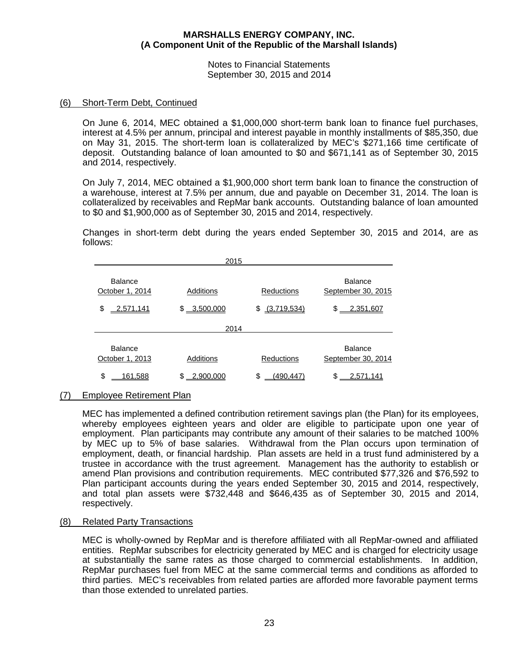Notes to Financial Statements September 30, 2015 and 2014

### (6) Short-Term Debt, Continued

On June 6, 2014, MEC obtained a \$1,000,000 short-term bank loan to finance fuel purchases, interest at 4.5% per annum, principal and interest payable in monthly installments of \$85,350, due on May 31, 2015. The short-term loan is collateralized by MEC's \$271,166 time certificate of deposit. Outstanding balance of loan amounted to \$0 and \$671,141 as of September 30, 2015 and 2014, respectively.

On July 7, 2014, MEC obtained a \$1,900,000 short term bank loan to finance the construction of a warehouse, interest at 7.5% per annum, due and payable on December 31, 2014. The loan is collateralized by receivables and RepMar bank accounts. Outstanding balance of loan amounted to \$0 and \$1,900,000 as of September 30, 2015 and 2014, respectively.

Changes in short-term debt during the years ended September 30, 2015 and 2014, are as follows:

| 2015                              |                |                   |                                      |  |  |  |  |  |
|-----------------------------------|----------------|-------------------|--------------------------------------|--|--|--|--|--|
| <b>Balance</b><br>October 1, 2014 | Additions      | <b>Reductions</b> | <b>Balance</b><br>September 30, 2015 |  |  |  |  |  |
| \$<br>2,571,141                   | $$ -3,500,000$ | (3,719,534)<br>\$ | \$2,351,607                          |  |  |  |  |  |
| 2014                              |                |                   |                                      |  |  |  |  |  |
|                                   |                |                   |                                      |  |  |  |  |  |
| <b>Balance</b><br>October 1, 2013 | Additions      | Reductions        | Balance<br>September 30, 2014        |  |  |  |  |  |

#### (7) Employee Retirement Plan

MEC has implemented a defined contribution retirement savings plan (the Plan) for its employees, whereby employees eighteen years and older are eligible to participate upon one year of employment. Plan participants may contribute any amount of their salaries to be matched 100% by MEC up to 5% of base salaries. Withdrawal from the Plan occurs upon termination of employment, death, or financial hardship. Plan assets are held in a trust fund administered by a trustee in accordance with the trust agreement. Management has the authority to establish or amend Plan provisions and contribution requirements. MEC contributed \$77,326 and \$76,592 to Plan participant accounts during the years ended September 30, 2015 and 2014, respectively, and total plan assets were \$732,448 and \$646,435 as of September 30, 2015 and 2014, respectively.

#### (8) Related Party Transactions

MEC is wholly-owned by RepMar and is therefore affiliated with all RepMar-owned and affiliated entities. RepMar subscribes for electricity generated by MEC and is charged for electricity usage at substantially the same rates as those charged to commercial establishments. In addition, RepMar purchases fuel from MEC at the same commercial terms and conditions as afforded to third parties. MEC's receivables from related parties are afforded more favorable payment terms than those extended to unrelated parties.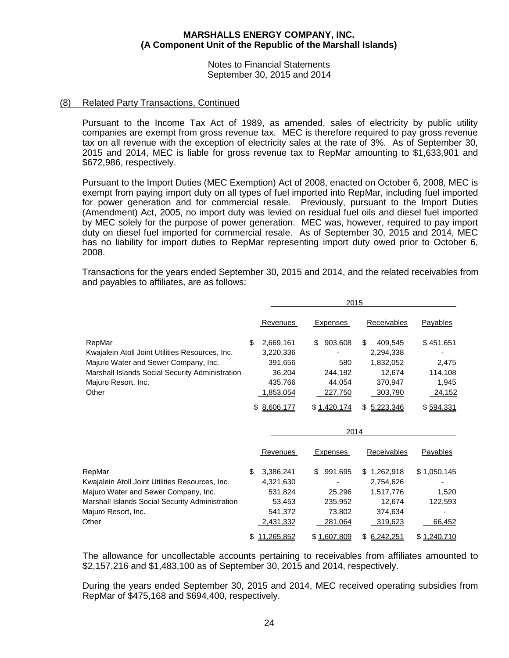Notes to Financial Statements September 30, 2015 and 2014

### (8) Related Party Transactions, Continued

Pursuant to the Income Tax Act of 1989, as amended, sales of electricity by public utility companies are exempt from gross revenue tax. MEC is therefore required to pay gross revenue tax on all revenue with the exception of electricity sales at the rate of 3%. As of September 30, 2015 and 2014, MEC is liable for gross revenue tax to RepMar amounting to \$1,633,901 and \$672,986, respectively.

Pursuant to the Import Duties (MEC Exemption) Act of 2008, enacted on October 6, 2008, MEC is exempt from paying import duty on all types of fuel imported into RepMar, including fuel imported for power generation and for commercial resale. Previously, pursuant to the Import Duties (Amendment) Act, 2005, no import duty was levied on residual fuel oils and diesel fuel imported by MEC solely for the purpose of power generation. MEC was, however, required to pay import duty on diesel fuel imported for commercial resale. As of September 30, 2015 and 2014, MEC has no liability for import duties to RepMar representing import duty owed prior to October 6, 2008.

Transactions for the years ended September 30, 2015 and 2014, and the related receivables from and payables to affiliates, are as follows:

|                                                 | 2015 |            |    |             |    |                    |                 |
|-------------------------------------------------|------|------------|----|-------------|----|--------------------|-----------------|
|                                                 |      | Revenues   |    | Expenses    |    | <b>Receivables</b> | <b>Payables</b> |
| RepMar                                          | \$   | 2,669,161  | \$ | 903,608     | \$ | 409,545            | \$451,651       |
| Kwajalein Atoll Joint Utilities Resources, Inc. |      | 3,220,336  |    |             |    | 2,294,338          |                 |
| Majuro Water and Sewer Company, Inc.            |      | 391,656    |    | 580         |    | 1,832,052          | 2,475           |
| Marshall Islands Social Security Administration |      | 36,204     |    | 244,182     |    | 12,674             | 114,108         |
| Majuro Resort, Inc.                             |      | 435,766    |    | 44,054      |    | 370,947            | 1,945           |
| Other                                           |      | 1,853,054  |    | 227,750     |    | 303,790            | 24,152          |
|                                                 | \$   | 8,606,177  |    | \$1,420,174 | \$ | 5,223,346          | \$594,331       |
|                                                 |      |            |    | 2014        |    |                    |                 |
|                                                 |      | Revenues   |    | Expenses    |    | Receivables        | <b>Payables</b> |
| RepMar                                          | \$   | 3,386,241  | \$ | 991,695     |    | \$1,262,918        | \$1,050,145     |
| Kwajalein Atoll Joint Utilities Resources, Inc. |      | 4,321,630  |    |             |    | 2,754,626          |                 |
| Majuro Water and Sewer Company, Inc.            |      | 531,824    |    | 25,296      |    | 1,517,776          | 1,520           |
| Marshall Islands Social Security Administration |      | 53,453     |    | 235,952     |    | 12,674             | 122,593         |
| Majuro Resort, Inc.                             |      | 541,372    |    | 73,802      |    | 374,634            |                 |
| Other                                           |      | 2,431,332  |    | 281,064     |    | 319,623            | 66,452          |
|                                                 | \$   | 11,265,852 |    | \$1,607,809 | \$ | 6,242,251          | \$1,240,710     |

The allowance for uncollectable accounts pertaining to receivables from affiliates amounted to \$2,157,216 and \$1,483,100 as of September 30, 2015 and 2014, respectively.

During the years ended September 30, 2015 and 2014, MEC received operating subsidies from RepMar of \$475,168 and \$694,400, respectively.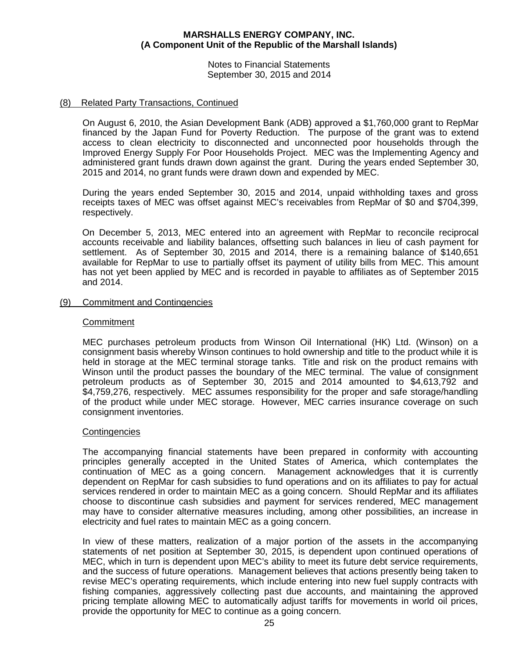Notes to Financial Statements September 30, 2015 and 2014

# (8) Related Party Transactions, Continued

On August 6, 2010, the Asian Development Bank (ADB) approved a \$1,760,000 grant to RepMar financed by the Japan Fund for Poverty Reduction. The purpose of the grant was to extend access to clean electricity to disconnected and unconnected poor households through the Improved Energy Supply For Poor Households Project. MEC was the Implementing Agency and administered grant funds drawn down against the grant. During the years ended September 30, 2015 and 2014, no grant funds were drawn down and expended by MEC.

During the years ended September 30, 2015 and 2014, unpaid withholding taxes and gross receipts taxes of MEC was offset against MEC's receivables from RepMar of \$0 and \$704,399, respectively.

On December 5, 2013, MEC entered into an agreement with RepMar to reconcile reciprocal accounts receivable and liability balances, offsetting such balances in lieu of cash payment for settlement. As of September 30, 2015 and 2014, there is a remaining balance of \$140,651 available for RepMar to use to partially offset its payment of utility bills from MEC. This amount has not yet been applied by MEC and is recorded in payable to affiliates as of September 2015 and 2014.

#### (9) Commitment and Contingencies

#### **Commitment**

MEC purchases petroleum products from Winson Oil International (HK) Ltd. (Winson) on a consignment basis whereby Winson continues to hold ownership and title to the product while it is held in storage at the MEC terminal storage tanks. Title and risk on the product remains with Winson until the product passes the boundary of the MEC terminal. The value of consignment petroleum products as of September 30, 2015 and 2014 amounted to \$4,613,792 and \$4,759,276, respectively. MEC assumes responsibility for the proper and safe storage/handling of the product while under MEC storage. However, MEC carries insurance coverage on such consignment inventories.

#### **Contingencies**

The accompanying financial statements have been prepared in conformity with accounting principles generally accepted in the United States of America, which contemplates the continuation of MEC as a going concern. Management acknowledges that it is currently dependent on RepMar for cash subsidies to fund operations and on its affiliates to pay for actual services rendered in order to maintain MEC as a going concern. Should RepMar and its affiliates choose to discontinue cash subsidies and payment for services rendered, MEC management may have to consider alternative measures including, among other possibilities, an increase in electricity and fuel rates to maintain MEC as a going concern.

In view of these matters, realization of a major portion of the assets in the accompanying statements of net position at September 30, 2015, is dependent upon continued operations of MEC, which in turn is dependent upon MEC's ability to meet its future debt service requirements, and the success of future operations. Management believes that actions presently being taken to revise MEC's operating requirements, which include entering into new fuel supply contracts with fishing companies, aggressively collecting past due accounts, and maintaining the approved pricing template allowing MEC to automatically adjust tariffs for movements in world oil prices, provide the opportunity for MEC to continue as a going concern.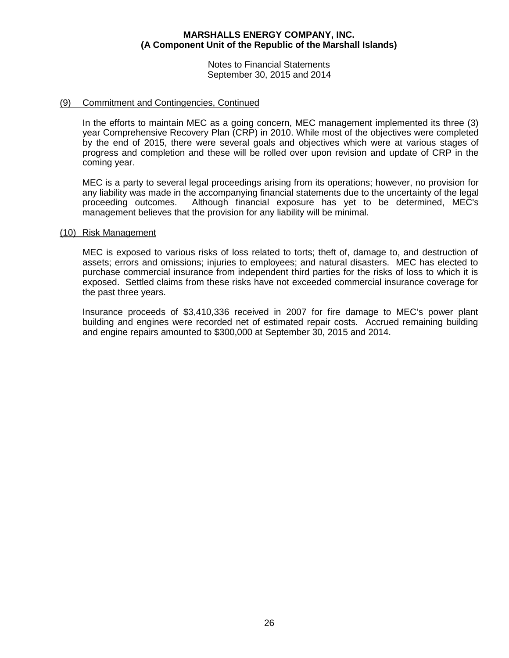Notes to Financial Statements September 30, 2015 and 2014

# (9) Commitment and Contingencies, Continued

In the efforts to maintain MEC as a going concern, MEC management implemented its three (3) year Comprehensive Recovery Plan (CRP) in 2010. While most of the objectives were completed by the end of 2015, there were several goals and objectives which were at various stages of progress and completion and these will be rolled over upon revision and update of CRP in the coming year.

MEC is a party to several legal proceedings arising from its operations; however, no provision for any liability was made in the accompanying financial statements due to the uncertainty of the legal proceeding outcomes. Although financial exposure has yet to be determined, MEC's management believes that the provision for any liability will be minimal.

#### (10) Risk Management

MEC is exposed to various risks of loss related to torts; theft of, damage to, and destruction of assets; errors and omissions; injuries to employees; and natural disasters. MEC has elected to purchase commercial insurance from independent third parties for the risks of loss to which it is exposed. Settled claims from these risks have not exceeded commercial insurance coverage for the past three years.

Insurance proceeds of \$3,410,336 received in 2007 for fire damage to MEC's power plant building and engines were recorded net of estimated repair costs. Accrued remaining building and engine repairs amounted to \$300,000 at September 30, 2015 and 2014.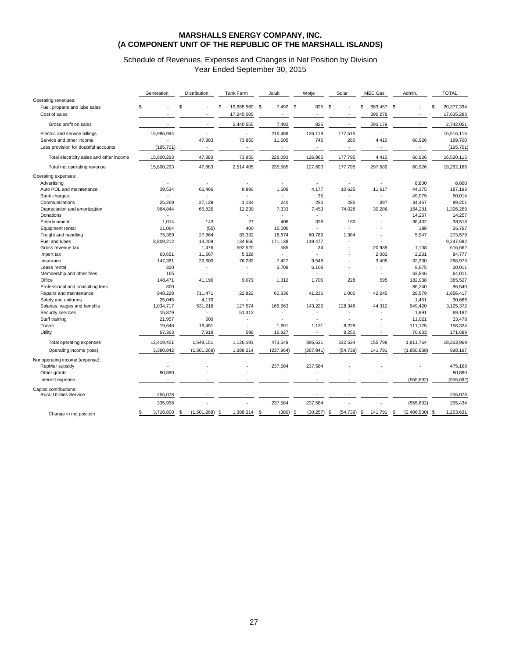#### Schedule of Revenues, Expenses and Changes in Net Position by Division Year Ended September 30, 2015

|                                          | Generation |                | Distribution             | <b>Tank Farm</b>         |    | Jaluit                      | Wotje           |     | Solar     |    | MEC Gas        | Admin             |     | <b>TOTAL</b> |
|------------------------------------------|------------|----------------|--------------------------|--------------------------|----|-----------------------------|-----------------|-----|-----------|----|----------------|-------------------|-----|--------------|
| Operating revenues:                      | \$         |                | \$                       | \$<br>19,685,560         | -S | 7,492 \$                    | 825             | -S  |           | S  | 683,457 \$     |                   | \$  | 20,377,334   |
| Fuel, propane and lube sales             |            |                |                          |                          |    |                             |                 |     |           |    |                |                   |     |              |
| Cost of sales                            |            |                | $\sim$                   | 17,245,005               |    |                             |                 |     | $\sim$    |    | 390,278        | $\sim$            |     | 17,635,283   |
| Gross profit on sales                    |            |                | $\blacksquare$           | 2,440,555                |    | 7,492                       | 825             |     | ÷.        |    | 293,179        | ÷.                |     | 2,742,051    |
| Electric and service billings            | 15,995,994 |                | ä,                       |                          |    | 216,488                     | 126,119         |     | 177,515   |    | ä,             | ÷,                |     | 16,516,116   |
| Service and other income                 |            |                | 47,883                   | 73,850                   |    | 11,605                      | 746             |     | 280       |    | 4,410          | 60,926            |     | 199,700      |
| Less provision for doubtful accounts     |            | (195, 701)     | $\blacksquare$           | $\overline{\phantom{a}}$ |    | $\overline{\phantom{a}}$    | $\sim$          |     | ä,        |    | ٠              | $\blacksquare$    |     | (195, 701)   |
| Total electricity sales and other income | 15,800,293 |                | 47,883                   | 73,850                   |    | 228,093                     | 126,865         |     | 177,795   |    | 4,410          | 60,926            |     | 16,520,115   |
| Total net operating revenue              | 15,800,293 |                | 47,883                   | 2,514,405                |    | 235,585                     | 127,690         |     | 177,795   |    | 297,589        | 60,926            |     | 19,262,166   |
| Operating expenses:                      |            |                |                          |                          |    |                             |                 |     |           |    |                |                   |     |              |
| Advertising                              |            |                | $\overline{\phantom{a}}$ | $\sim$                   |    | ٠                           | ٠               |     |           |    |                | 8.800             |     | 8,800        |
| Auto POL and maintenance                 |            | 39.534         | 66.466                   | 8.890                    |    | 1.509                       | 4.177           |     | 10.625    |    | 11.617         | 44,375            |     | 187,193      |
| <b>Bank charges</b>                      |            |                | $\ddot{\phantom{1}}$     | $\sim$                   |    | ä,                          | 35              |     | $\sim$    |    | $\overline{a}$ | 49,979            |     | 50,014       |
| Communications                           |            | 25,269         | 27,129                   | 1,134                    |    | 240                         | 280             |     | 285       |    | 397            | 34,467            |     | 89,201       |
| Depreciation and amortization            |            | 964,844        | 65,825                   | 12,239                   |    | 7,333                       | 7,453           |     | 74,028    |    | 30,286         | 164,281           |     | 1,326,289    |
| Donations                                |            |                |                          |                          |    | ÷                           |                 |     |           |    |                | 14,257            |     | 14,257       |
| Entertainment                            |            | 1,014          | 143                      | 27                       |    | 406                         | 336             |     | 160       |    |                | 36,432            |     | 38,518       |
| Equipment rental                         |            | 11,064         | (55)                     | 400                      |    | 15,000                      |                 |     |           |    |                | 388               |     | 26,797       |
| Freight and handling                     |            | 75,389         | 27,864                   | 83,332                   |    | 18,874                      | 60,789          |     | 1,384     |    | ÷.             | 5,947             |     | 273,579      |
| Fuel and lubes                           |            | 8,809,212      | 13,209                   | 134,656                  |    | 171,138                     | 119,477         |     |           |    |                | $\sim$            |     | 9,247,692    |
| Gross revenue tax                        |            | ٠              | 1,476                    | 592,520                  |    | 585                         | 34              |     | ٠         |    | 20,939         | 1,108             |     | 616,662      |
| Import tax                               |            | 63.651         | 11,567                   | 5,326                    |    | ä,                          | $\blacksquare$  |     |           |    | 2,002          | 2,231             |     | 84,777       |
| Insurance                                |            | 147,381        | 22,600                   | 76,282                   |    | 7.427                       | 9.548           |     |           |    | 3,405          | 32,330            |     | 298,973      |
| Lease rental                             |            | 320            | $\tilde{\phantom{a}}$    | $\overline{\phantom{a}}$ |    | 3,708                       | 6,108           |     |           |    |                | 9,875             |     | 20,011       |
| Membership and other fees                |            | 165            |                          | ÷.                       |    | $\mathcal{L}_{\mathcal{A}}$ | $\mathbf{r}$    |     | ÷         |    | ÷              | 63,846            |     | 64,011       |
| Office                                   |            | 148,471        | 41,199                   | 9,079                    |    | 1,312                       | 1,705           |     | 228       |    | 595            | 182,938           |     | 385,527      |
| Professional and consulting fees         |            | 300            |                          |                          |    | ÷                           | ÷               |     | ÷         |    |                | 86,240            |     | 86,540       |
| Repairs and maintenance                  |            | 948.228        | 711,471                  | 22,822                   |    | 60.836                      | 41,236          |     | 1,000     |    | 42,245         | 28,579            |     | 1,856,417    |
| Safety and uniforms                      |            | 25,045         | 4,170                    | ÷.                       |    | ÷                           | ÷               |     | ÷,        |    |                | 1,451             |     | 30,666       |
| Salaries, wages and benefits             |            | 1,034,717      | 531,218                  | 127,574                  |    | 166,563                     | 143,222         |     | 128,346   |    | 44,312         | 949,420           |     | 3,125,372    |
| Security services                        |            | 15,879         | ÷.                       | 51,312                   |    | $\overline{a}$              |                 |     |           |    |                | 1,991             |     | 69,182       |
| Staff training                           |            | 21,957         | 500                      | $\sim$                   |    | $\sim$                      | ٠               |     | ٠         |    |                | 11,021            |     | 33,478       |
| Travel                                   |            | 19,648         | 16,451                   | $\sim$                   |    | 1.691                       | 1,131           |     | 8.228     |    |                | 111,175           |     | 158,324      |
| Utility                                  |            | 67,363         | 7,918                    | 598                      |    | 16,927                      | $\blacksquare$  |     | 8,250     |    | ٠              | 70,633            |     | 171,689      |
| Total operating expenses                 | 12,419,451 |                | 1,549,151                | 1,126,191                |    | 473,549                     | 395,531         |     | 232,534   |    | 155,798        | 1,911,764         |     | 18,263,969   |
| Operating income (loss)                  |            | 3,380,842      | (1,501,268)              | 1,388,214                |    | (237, 964)                  | (267, 841)      |     | (54, 739) |    | 141,791        | (1,850,838)       |     | 998,197      |
| Nonoperating income (expense):           |            |                |                          |                          |    |                             |                 |     |           |    |                |                   |     |              |
| RepMar subsidy                           |            |                |                          |                          |    | 237,584                     | 237,584         |     |           |    |                |                   |     | 475,168      |
| Other grants                             |            | 80,880         |                          |                          |    | ÷.                          | ä,              |     |           |    |                |                   |     | 80,880       |
| Interest expense                         |            | $\blacksquare$ |                          |                          |    |                             |                 |     |           |    |                | (555, 692)        |     | (555, 692)   |
| Capital contributions:                   |            |                |                          |                          |    |                             |                 |     |           |    |                |                   |     |              |
| <b>Rural Utilities Service</b>           |            | 255,078        |                          |                          |    |                             |                 |     |           |    |                |                   |     | 255,078      |
|                                          |            | 335,958        |                          |                          |    | 237,584                     | 237,584         |     |           |    |                | (555, 692)        |     | 255,434      |
| Change in net position                   | \$         | 3,716,800      | \$<br>(1,501,268)        | \$<br>1,388,214          | \$ | (380)                       | \$<br>(30, 257) | -\$ | (54, 739) | \$ | 141,791        | \$<br>(2,406,530) | -\$ | 1,253,631    |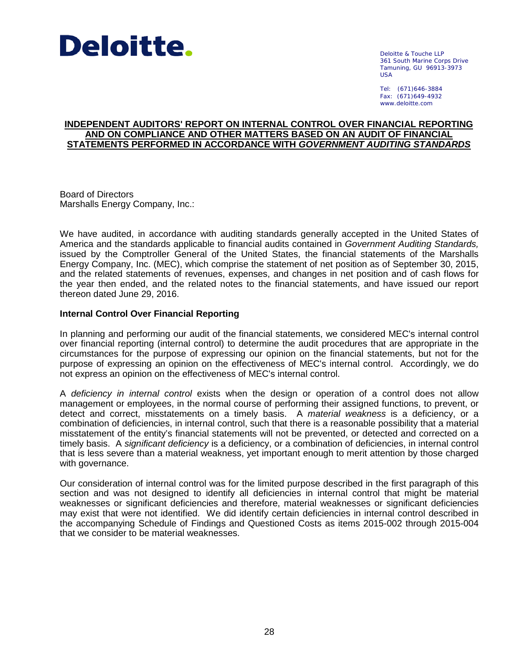

Deloitte & Touche LLP 361 South Marine Corps Drive Tamuning, GU 96913-3973 USA

Tel: (671)646-3884 Fax: (671)649-4932 www.deloitte.com

### **INDEPENDENT AUDITORS' REPORT ON INTERNAL CONTROL OVER FINANCIAL REPORTING AND ON COMPLIANCE AND OTHER MATTERS BASED ON AN AUDIT OF FINANCIAL STATEMENTS PERFORMED IN ACCORDANCE WITH** *GOVERNMENT AUDITING STANDARDS*

Board of Directors Marshalls Energy Company, Inc.:

We have audited, in accordance with auditing standards generally accepted in the United States of America and the standards applicable to financial audits contained in *Government Auditing Standards,* issued by the Comptroller General of the United States, the financial statements of the Marshalls Energy Company, Inc. (MEC), which comprise the statement of net position as of September 30, 2015, and the related statements of revenues, expenses, and changes in net position and of cash flows for the year then ended, and the related notes to the financial statements, and have issued our report thereon dated June 29, 2016.

# **Internal Control Over Financial Reporting**

In planning and performing our audit of the financial statements, we considered MEC's internal control over financial reporting (internal control) to determine the audit procedures that are appropriate in the circumstances for the purpose of expressing our opinion on the financial statements, but not for the purpose of expressing an opinion on the effectiveness of MEC's internal control. Accordingly, we do not express an opinion on the effectiveness of MEC's internal control.

A *deficiency in internal control* exists when the design or operation of a control does not allow management or employees, in the normal course of performing their assigned functions, to prevent, or detect and correct, misstatements on a timely basis. A *material weakness* is a deficiency, or a combination of deficiencies, in internal control, such that there is a reasonable possibility that a material misstatement of the entity's financial statements will not be prevented, or detected and corrected on a timely basis. A *significant deficiency* is a deficiency, or a combination of deficiencies, in internal control that is less severe than a material weakness, yet important enough to merit attention by those charged with governance.

Our consideration of internal control was for the limited purpose described in the first paragraph of this section and was not designed to identify all deficiencies in internal control that might be material weaknesses or significant deficiencies and therefore, material weaknesses or significant deficiencies may exist that were not identified. We did identify certain deficiencies in internal control described in the accompanying Schedule of Findings and Questioned Costs as items 2015-002 through 2015-004 that we consider to be material weaknesses.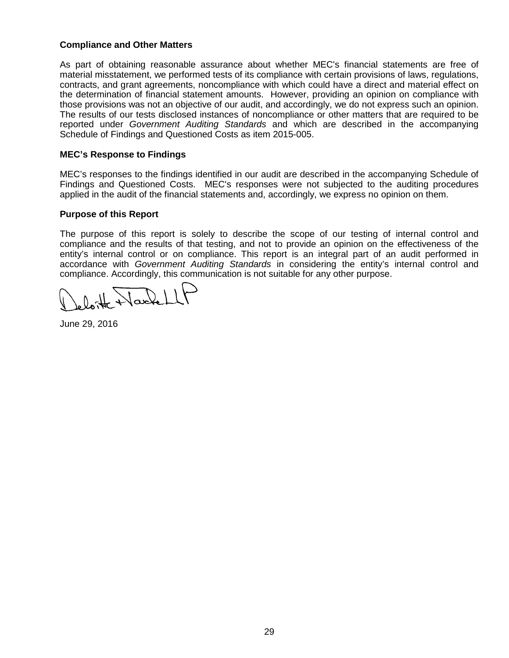# **Compliance and Other Matters**

As part of obtaining reasonable assurance about whether MEC's financial statements are free of material misstatement, we performed tests of its compliance with certain provisions of laws, regulations, contracts, and grant agreements, noncompliance with which could have a direct and material effect on the determination of financial statement amounts. However, providing an opinion on compliance with those provisions was not an objective of our audit, and accordingly, we do not express such an opinion. The results of our tests disclosed instances of noncompliance or other matters that are required to be reported under *Government Auditing Standards* and which are described in the accompanying Schedule of Findings and Questioned Costs as item 2015-005.

# **MEC's Response to Findings**

MEC's responses to the findings identified in our audit are described in the accompanying Schedule of Findings and Questioned Costs. MEC's responses were not subjected to the auditing procedures applied in the audit of the financial statements and, accordingly, we express no opinion on them.

# **Purpose of this Report**

The purpose of this report is solely to describe the scope of our testing of internal control and compliance and the results of that testing, and not to provide an opinion on the effectiveness of the entity's internal control or on compliance. This report is an integral part of an audit performed in accordance with *Government Auditing Standards* in considering the entity's internal control and compliance. Accordingly, this communication is not suitable for any other purpose.

June 29, 2016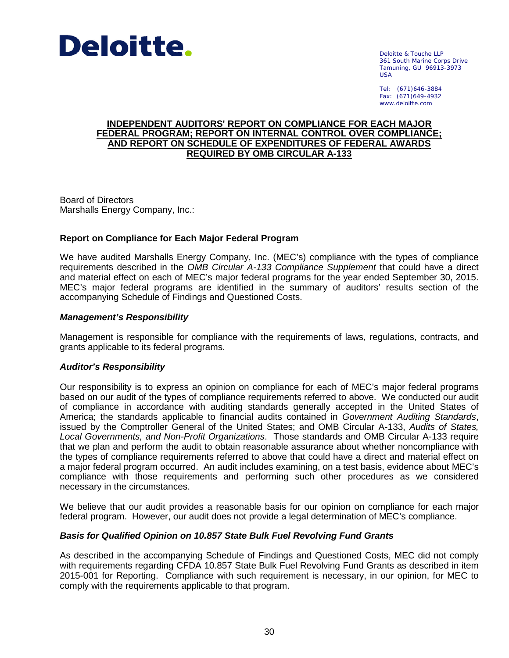

Deloitte & Touche LLP 361 South Marine Corps Drive Tamuning, GU 96913-3973 USA

Tel: (671)646-3884 Fax: (671)649-4932 www.deloitte.com

# **INDEPENDENT AUDITORS' REPORT ON COMPLIANCE FOR EACH MAJOR FEDERAL PROGRAM; REPORT ON INTERNAL CONTROL OVER COMPLIANCE; AND REPORT ON SCHEDULE OF EXPENDITURES OF FEDERAL AWARDS REQUIRED BY OMB CIRCULAR A-133**

Board of Directors Marshalls Energy Company, Inc.:

# **Report on Compliance for Each Major Federal Program**

We have audited Marshalls Energy Company, Inc. (MEC's) compliance with the types of compliance requirements described in the *OMB Circular A-133 Compliance Supplement* that could have a direct and material effect on each of MEC's major federal programs for the year ended September 30, 2015. MEC's major federal programs are identified in the summary of auditors' results section of the accompanying Schedule of Findings and Questioned Costs.

# *Management's Responsibility*

Management is responsible for compliance with the requirements of laws, regulations, contracts, and grants applicable to its federal programs.

# *Auditor's Responsibility*

Our responsibility is to express an opinion on compliance for each of MEC's major federal programs based on our audit of the types of compliance requirements referred to above. We conducted our audit of compliance in accordance with auditing standards generally accepted in the United States of America; the standards applicable to financial audits contained in *Government Auditing Standards*, issued by the Comptroller General of the United States; and OMB Circular A-133, *Audits of States, Local Governments, and Non-Profit Organizations*. Those standards and OMB Circular A-133 require that we plan and perform the audit to obtain reasonable assurance about whether noncompliance with the types of compliance requirements referred to above that could have a direct and material effect on a major federal program occurred. An audit includes examining, on a test basis, evidence about MEC's compliance with those requirements and performing such other procedures as we considered necessary in the circumstances.

We believe that our audit provides a reasonable basis for our opinion on compliance for each major federal program. However, our audit does not provide a legal determination of MEC's compliance.

# *Basis for Qualified Opinion on 10.857 State Bulk Fuel Revolving Fund Grants*

As described in the accompanying Schedule of Findings and Questioned Costs, MEC did not comply with requirements regarding CFDA 10.857 State Bulk Fuel Revolving Fund Grants as described in item 2015-001 for Reporting. Compliance with such requirement is necessary, in our opinion, for MEC to comply with the requirements applicable to that program.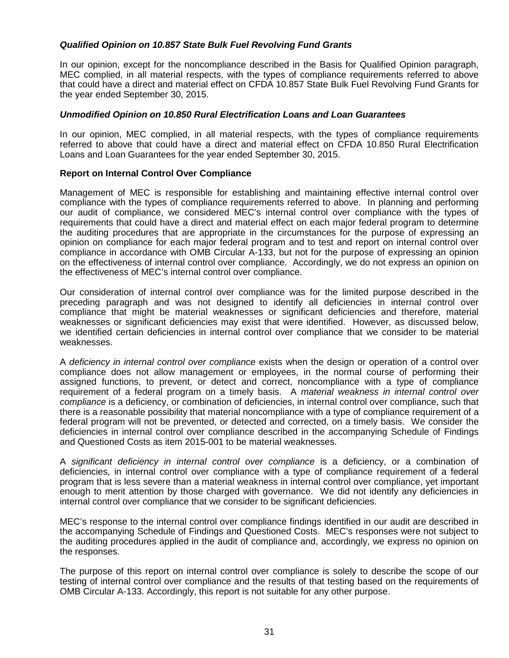# *Qualified Opinion on 10.857 State Bulk Fuel Revolving Fund Grants*

In our opinion, except for the noncompliance described in the Basis for Qualified Opinion paragraph, MEC complied, in all material respects, with the types of compliance requirements referred to above that could have a direct and material effect on CFDA 10.857 State Bulk Fuel Revolving Fund Grants for the year ended September 30, 2015.

# *Unmodified Opinion on 10.850 Rural Electrification Loans and Loan Guarantees*

In our opinion, MEC complied, in all material respects, with the types of compliance requirements referred to above that could have a direct and material effect on CFDA 10.850 Rural Electrification Loans and Loan Guarantees for the year ended September 30, 2015.

# **Report on Internal Control Over Compliance**

Management of MEC is responsible for establishing and maintaining effective internal control over compliance with the types of compliance requirements referred to above. In planning and performing our audit of compliance, we considered MEC's internal control over compliance with the types of requirements that could have a direct and material effect on each major federal program to determine the auditing procedures that are appropriate in the circumstances for the purpose of expressing an opinion on compliance for each major federal program and to test and report on internal control over compliance in accordance with OMB Circular A-133, but not for the purpose of expressing an opinion on the effectiveness of internal control over compliance. Accordingly, we do not express an opinion on the effectiveness of MEC's internal control over compliance.

Our consideration of internal control over compliance was for the limited purpose described in the preceding paragraph and was not designed to identify all deficiencies in internal control over compliance that might be material weaknesses or significant deficiencies and therefore, material weaknesses or significant deficiencies may exist that were identified. However, as discussed below, we identified certain deficiencies in internal control over compliance that we consider to be material weaknesses.

A *deficiency in internal control over compliance* exists when the design or operation of a control over compliance does not allow management or employees, in the normal course of performing their assigned functions, to prevent, or detect and correct, noncompliance with a type of compliance requirement of a federal program on a timely basis. A *material weakness in internal control over compliance* is a deficiency, or combination of deficiencies, in internal control over compliance, such that there is a reasonable possibility that material noncompliance with a type of compliance requirement of a federal program will not be prevented, or detected and corrected, on a timely basis. We consider the deficiencies in internal control over compliance described in the accompanying Schedule of Findings and Questioned Costs as item 2015-001 to be material weaknesses.

A *significant deficiency in internal control over compliance* is a deficiency, or a combination of deficiencies, in internal control over compliance with a type of compliance requirement of a federal program that is less severe than a material weakness in internal control over compliance, yet important enough to merit attention by those charged with governance. We did not identify any deficiencies in internal control over compliance that we consider to be significant deficiencies.

MEC's response to the internal control over compliance findings identified in our audit are described in the accompanying Schedule of Findings and Questioned Costs. MEC's responses were not subject to the auditing procedures applied in the audit of compliance and, accordingly, we express no opinion on the responses.

The purpose of this report on internal control over compliance is solely to describe the scope of our testing of internal control over compliance and the results of that testing based on the requirements of OMB Circular A-133. Accordingly, this report is not suitable for any other purpose.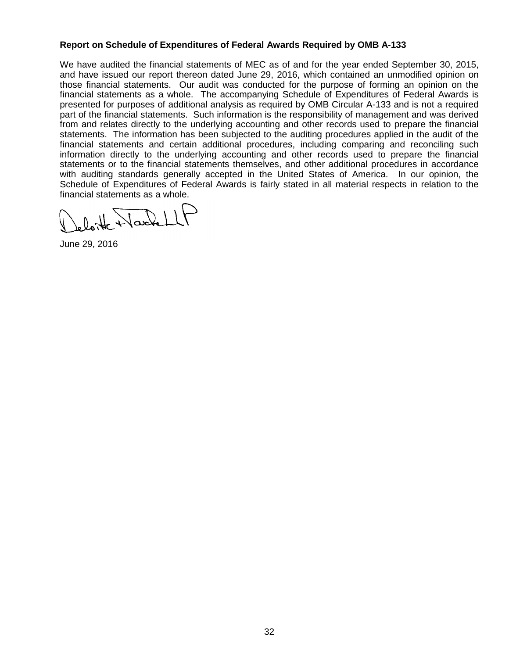# **Report on Schedule of Expenditures of Federal Awards Required by OMB A-133**

We have audited the financial statements of MEC as of and for the year ended September 30, 2015, and have issued our report thereon dated June 29, 2016, which contained an unmodified opinion on those financial statements. Our audit was conducted for the purpose of forming an opinion on the financial statements as a whole. The accompanying Schedule of Expenditures of Federal Awards is presented for purposes of additional analysis as required by OMB Circular A-133 and is not a required part of the financial statements. Such information is the responsibility of management and was derived from and relates directly to the underlying accounting and other records used to prepare the financial statements. The information has been subjected to the auditing procedures applied in the audit of the financial statements and certain additional procedures, including comparing and reconciling such information directly to the underlying accounting and other records used to prepare the financial statements or to the financial statements themselves, and other additional procedures in accordance with auditing standards generally accepted in the United States of America. In our opinion, the Schedule of Expenditures of Federal Awards is fairly stated in all material respects in relation to the financial statements as a whole.

 $\frac{1}{\sqrt{1-x^2}}$ 

June 29, 2016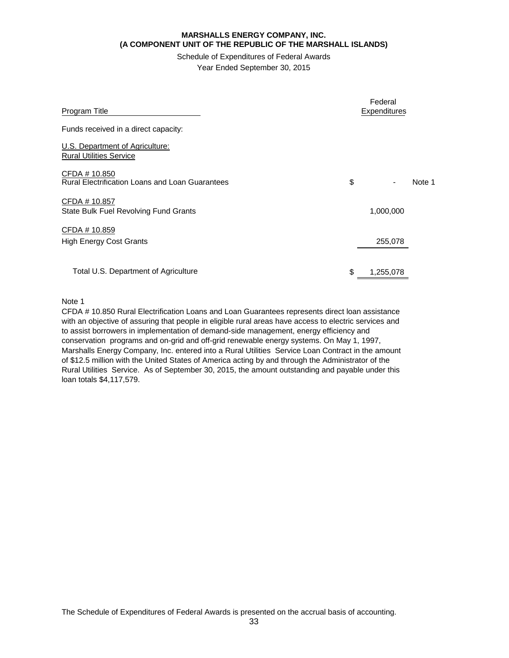Schedule of Expenditures of Federal Awards Year Ended September 30, 2015

| Program Title                                                           | Federal<br>Expenditures |           |        |  |  |  |  |
|-------------------------------------------------------------------------|-------------------------|-----------|--------|--|--|--|--|
| Funds received in a direct capacity:                                    |                         |           |        |  |  |  |  |
| U.S. Department of Agriculture:<br><b>Rural Utilities Service</b>       |                         |           |        |  |  |  |  |
| CFDA # 10.850<br><b>Rural Electrification Loans and Loan Guarantees</b> | \$                      |           | Note 1 |  |  |  |  |
| CFDA #10.857<br>State Bulk Fuel Revolving Fund Grants                   |                         | 1,000,000 |        |  |  |  |  |
| CFDA # 10.859                                                           |                         |           |        |  |  |  |  |
| <b>High Energy Cost Grants</b>                                          |                         | 255,078   |        |  |  |  |  |
| Total U.S. Department of Agriculture                                    | \$                      | 1,255,078 |        |  |  |  |  |

#### Note 1

CFDA # 10.850 Rural Electrification Loans and Loan Guarantees represents direct loan assistance with an objective of assuring that people in eligible rural areas have access to electric services and to assist borrowers in implementation of demand-side management, energy efficiency and conservation programs and on-grid and off-grid renewable energy systems. On May 1, 1997, Marshalls Energy Company, Inc. entered into a Rural Utilities Service Loan Contract in the amount of \$12.5 million with the United States of America acting by and through the Administrator of the Rural Utilities Service. As of September 30, 2015, the amount outstanding and payable under this loan totals \$4,117,579.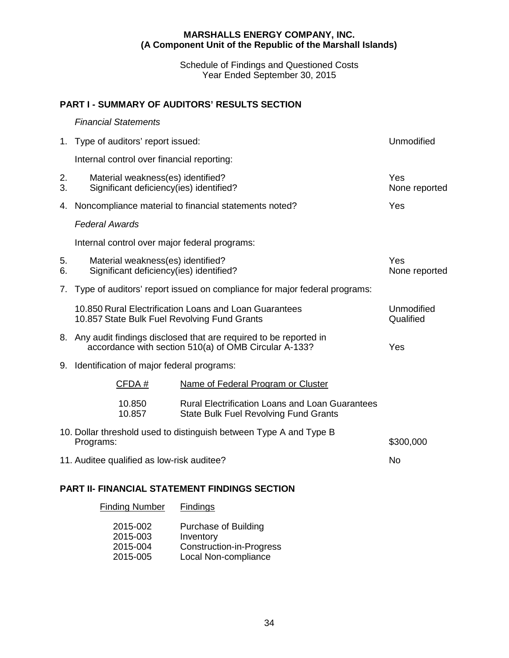Schedule of Findings and Questioned Costs Year Ended September 30, 2015

# **PART I - SUMMARY OF AUDITORS' RESULTS SECTION**

| <b>Financial Statements</b>                                                                                      |                                                                                                        |                                                                                                        |            |  |  |  |  |  |
|------------------------------------------------------------------------------------------------------------------|--------------------------------------------------------------------------------------------------------|--------------------------------------------------------------------------------------------------------|------------|--|--|--|--|--|
|                                                                                                                  | 1. Type of auditors' report issued:                                                                    |                                                                                                        | Unmodified |  |  |  |  |  |
|                                                                                                                  | Internal control over financial reporting:                                                             |                                                                                                        |            |  |  |  |  |  |
| 2.<br>3.                                                                                                         | Material weakness(es) identified?<br>Significant deficiency(ies) identified?                           |                                                                                                        |            |  |  |  |  |  |
| 4.                                                                                                               |                                                                                                        | Noncompliance material to financial statements noted?                                                  | Yes        |  |  |  |  |  |
|                                                                                                                  | <b>Federal Awards</b>                                                                                  |                                                                                                        |            |  |  |  |  |  |
|                                                                                                                  | Internal control over major federal programs:                                                          |                                                                                                        |            |  |  |  |  |  |
| Yes<br>5.<br>Material weakness(es) identified?<br>Significant deficiency(ies) identified?<br>6.<br>None reported |                                                                                                        |                                                                                                        |            |  |  |  |  |  |
| 7.                                                                                                               | Type of auditors' report issued on compliance for major federal programs:                              |                                                                                                        |            |  |  |  |  |  |
|                                                                                                                  | 10.850 Rural Electrification Loans and Loan Guarantees<br>10.857 State Bulk Fuel Revolving Fund Grants |                                                                                                        |            |  |  |  |  |  |
| 8. Any audit findings disclosed that are required to be reported in                                              | Yes                                                                                                    |                                                                                                        |            |  |  |  |  |  |
| 9.                                                                                                               | Identification of major federal programs:                                                              |                                                                                                        |            |  |  |  |  |  |
|                                                                                                                  | CFDA#                                                                                                  | Name of Federal Program or Cluster                                                                     |            |  |  |  |  |  |
|                                                                                                                  | 10.850<br>10.857                                                                                       | <b>Rural Electrification Loans and Loan Guarantees</b><br><b>State Bulk Fuel Revolving Fund Grants</b> |            |  |  |  |  |  |
|                                                                                                                  | 10. Dollar threshold used to distinguish between Type A and Type B<br>Programs:                        |                                                                                                        |            |  |  |  |  |  |
| 11. Auditee qualified as low-risk auditee?                                                                       | No                                                                                                     |                                                                                                        |            |  |  |  |  |  |

# **PART II- FINANCIAL STATEMENT FINDINGS SECTION**

| <b>Finding Number</b>            | <b>Findings</b>                                                      |
|----------------------------------|----------------------------------------------------------------------|
| 2015-002<br>2015-003<br>2015-004 | Purchase of Building<br>Inventory<br><b>Construction-in-Progress</b> |
| 2015-005                         | Local Non-compliance                                                 |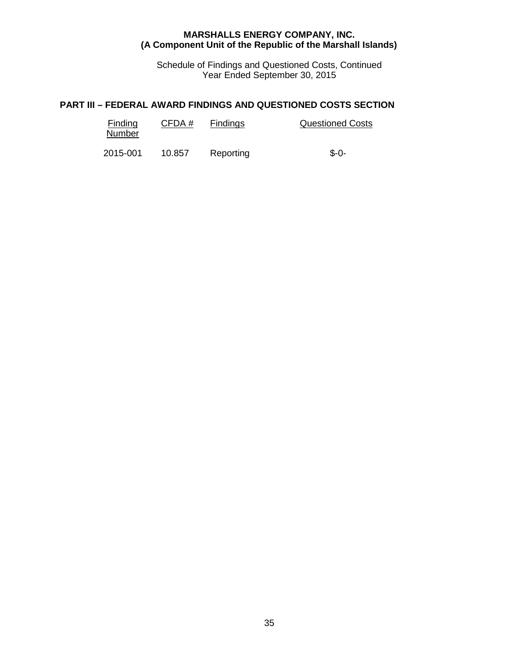Schedule of Findings and Questioned Costs, Continued Year Ended September 30, 2015

# **PART III – FEDERAL AWARD FINDINGS AND QUESTIONED COSTS SECTION**

| <b>Finding</b><br>Number | CFDA#  | Findings  | <b>Questioned Costs</b> |
|--------------------------|--------|-----------|-------------------------|
| 2015-001                 | 10.857 | Reporting | $$-0-$                  |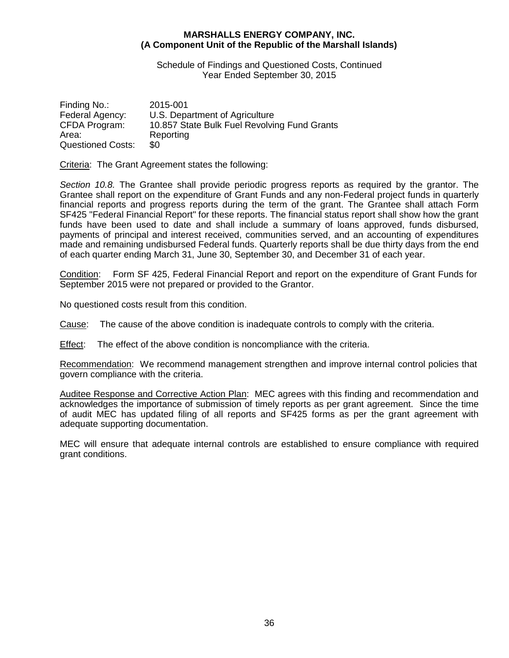Schedule of Findings and Questioned Costs, Continued Year Ended September 30, 2015

| Finding No.:             | 2015-001                                     |
|--------------------------|----------------------------------------------|
| Federal Agency:          | U.S. Department of Agriculture               |
| CFDA Program:            | 10.857 State Bulk Fuel Revolving Fund Grants |
| Area:                    | Reporting                                    |
| <b>Questioned Costs:</b> | \$0                                          |

Criteria: The Grant Agreement states the following:

*Section 10.8.* The Grantee shall provide periodic progress reports as required by the grantor. The Grantee shall report on the expenditure of Grant Funds and any non-Federal project funds in quarterly financial reports and progress reports during the term of the grant. The Grantee shall attach Form SF425 "Federal Financial Report" for these reports. The financial status report shall show how the grant funds have been used to date and shall include a summary of loans approved, funds disbursed, payments of principal and interest received, communities served, and an accounting of expenditures made and remaining undisbursed Federal funds. Quarterly reports shall be due thirty days from the end of each quarter ending March 31, June 30, September 30, and December 31 of each year.

Condition: Form SF 425, Federal Financial Report and report on the expenditure of Grant Funds for September 2015 were not prepared or provided to the Grantor.

No questioned costs result from this condition.

Cause: The cause of the above condition is inadequate controls to comply with the criteria.

Effect: The effect of the above condition is noncompliance with the criteria.

Recommendation: We recommend management strengthen and improve internal control policies that govern compliance with the criteria.

Auditee Response and Corrective Action Plan: MEC agrees with this finding and recommendation and acknowledges the importance of submission of timely reports as per grant agreement. Since the time of audit MEC has updated filing of all reports and SF425 forms as per the grant agreement with adequate supporting documentation.

MEC will ensure that adequate internal controls are established to ensure compliance with required grant conditions.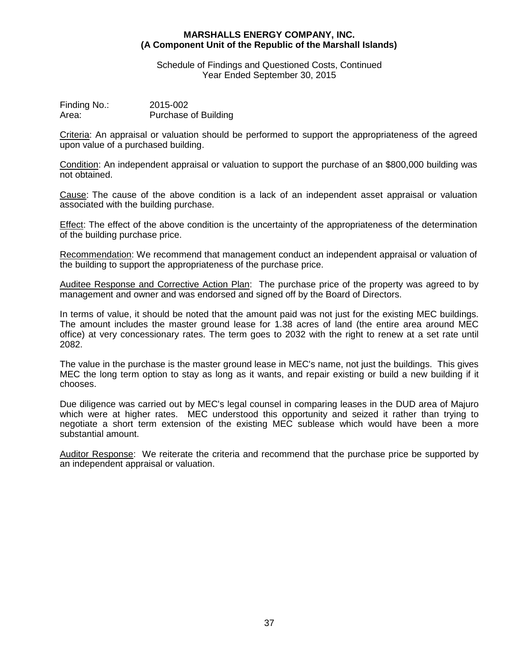Schedule of Findings and Questioned Costs, Continued Year Ended September 30, 2015

Finding No.: 2015-002<br>Area: Purchase Purchase of Building

Criteria: An appraisal or valuation should be performed to support the appropriateness of the agreed upon value of a purchased building.

Condition: An independent appraisal or valuation to support the purchase of an \$800,000 building was not obtained.

Cause: The cause of the above condition is a lack of an independent asset appraisal or valuation associated with the building purchase.

Effect: The effect of the above condition is the uncertainty of the appropriateness of the determination of the building purchase price.

Recommendation: We recommend that management conduct an independent appraisal or valuation of the building to support the appropriateness of the purchase price.

Auditee Response and Corrective Action Plan: The purchase price of the property was agreed to by management and owner and was endorsed and signed off by the Board of Directors.

In terms of value, it should be noted that the amount paid was not just for the existing MEC buildings. The amount includes the master ground lease for 1.38 acres of land (the entire area around MEC office) at very concessionary rates. The term goes to 2032 with the right to renew at a set rate until 2082.

The value in the purchase is the master ground lease in MEC's name, not just the buildings. This gives MEC the long term option to stay as long as it wants, and repair existing or build a new building if it chooses.

Due diligence was carried out by MEC's legal counsel in comparing leases in the DUD area of Majuro which were at higher rates. MEC understood this opportunity and seized it rather than trying to negotiate a short term extension of the existing MEC sublease which would have been a more substantial amount.

Auditor Response: We reiterate the criteria and recommend that the purchase price be supported by an independent appraisal or valuation.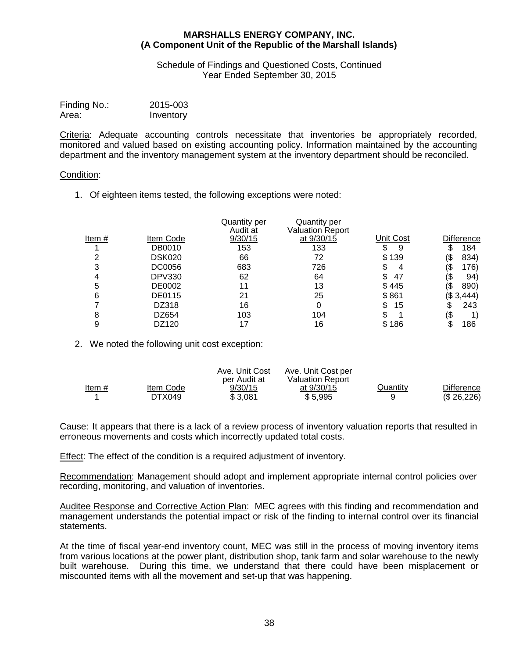Schedule of Findings and Questioned Costs, Continued Year Ended September 30, 2015

| Finding No.: | 2015-003  |
|--------------|-----------|
| Area:        | Inventory |

Criteria: Adequate accounting controls necessitate that inventories be appropriately recorded, monitored and valued based on existing accounting policy. Information maintained by the accounting department and the inventory management system at the inventory department should be reconciled.

#### Condition:

1. Of eighteen items tested, the following exceptions were noted:

|          |               | <b>Quantity per</b><br>Audit at | Quantity per<br>Valuation Report |           |                   |
|----------|---------------|---------------------------------|----------------------------------|-----------|-------------------|
| Item $#$ | Item Code     | 9/30/15                         | at 9/30/15                       | Unit Cost | <b>Difference</b> |
|          | DB0010        | 153                             | 133                              | 9         | 184               |
| າ        | <b>DSK020</b> | 66                              | 72                               | \$139     | 834)<br>(\$       |
| 3        | DC0056        | 683                             | 726                              | 4         | 176)<br>(\$       |
| 4        | <b>DPV330</b> | 62                              | 64                               | 47        | (\$<br>94)        |
| 5        | DE0002        | 11                              | 13                               | \$445     | 890)<br>(\$       |
| 6        | DE0115        | 21                              | 25                               | \$861     | (\$ 3,444)        |
|          | DZ318         | 16                              | 0                                | 15<br>\$  | 243               |
| 8        | DZ654         | 103                             | 104                              |           | (\$               |
| 9        | DZ120         | 17                              | 16                               | \$186     | 186               |

2. We noted the following unit cost exception:

|          |           | Ave. Unit Cost<br>per Audit at | Ave. Unit Cost per<br><b>Valuation Report</b> |          |            |
|----------|-----------|--------------------------------|-----------------------------------------------|----------|------------|
| Item $#$ | Item Code | 9/30/15                        | at 9/30/15                                    | Quantitv | Difference |
|          | DTX049    | \$3.081                        | \$5,995                                       |          | (\$26,226) |

Cause: It appears that there is a lack of a review process of inventory valuation reports that resulted in erroneous movements and costs which incorrectly updated total costs.

Effect: The effect of the condition is a required adjustment of inventory.

Recommendation: Management should adopt and implement appropriate internal control policies over recording, monitoring, and valuation of inventories.

Auditee Response and Corrective Action Plan: MEC agrees with this finding and recommendation and management understands the potential impact or risk of the finding to internal control over its financial statements.

At the time of fiscal year-end inventory count, MEC was still in the process of moving inventory items from various locations at the power plant, distribution shop, tank farm and solar warehouse to the newly built warehouse. During this time, we understand that there could have been misplacement or miscounted items with all the movement and set-up that was happening.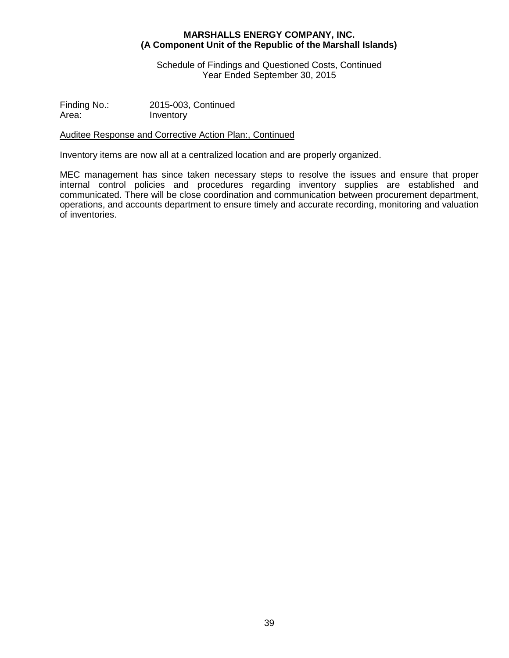Schedule of Findings and Questioned Costs, Continued Year Ended September 30, 2015

Finding No.: 2015-003, Continued<br>Area: lnventory **Inventory** 

# Auditee Response and Corrective Action Plan:, Continued

Inventory items are now all at a centralized location and are properly organized.

MEC management has since taken necessary steps to resolve the issues and ensure that proper internal control policies and procedures regarding inventory supplies are established and communicated. There will be close coordination and communication between procurement department, operations, and accounts department to ensure timely and accurate recording, monitoring and valuation of inventories.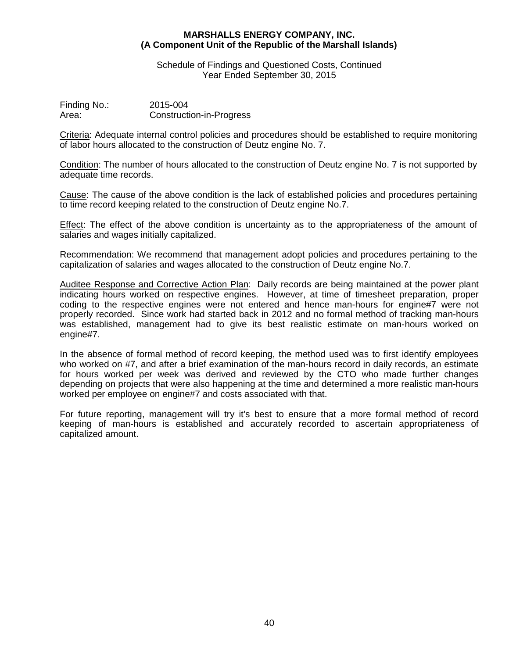Schedule of Findings and Questioned Costs, Continued Year Ended September 30, 2015

Finding No.: 2015-004<br>Area: Constructi Construction-in-Progress

Criteria: Adequate internal control policies and procedures should be established to require monitoring of labor hours allocated to the construction of Deutz engine No. 7.

Condition: The number of hours allocated to the construction of Deutz engine No. 7 is not supported by adequate time records.

Cause: The cause of the above condition is the lack of established policies and procedures pertaining to time record keeping related to the construction of Deutz engine No.7.

Effect: The effect of the above condition is uncertainty as to the appropriateness of the amount of salaries and wages initially capitalized.

Recommendation: We recommend that management adopt policies and procedures pertaining to the capitalization of salaries and wages allocated to the construction of Deutz engine No.7.

Auditee Response and Corrective Action Plan: Daily records are being maintained at the power plant indicating hours worked on respective engines. However, at time of timesheet preparation, proper coding to the respective engines were not entered and hence man-hours for engine#7 were not properly recorded. Since work had started back in 2012 and no formal method of tracking man-hours was established, management had to give its best realistic estimate on man-hours worked on engine#7.

In the absence of formal method of record keeping, the method used was to first identify employees who worked on #7, and after a brief examination of the man-hours record in daily records, an estimate for hours worked per week was derived and reviewed by the CTO who made further changes depending on projects that were also happening at the time and determined a more realistic man-hours worked per employee on engine#7 and costs associated with that.

For future reporting, management will try it's best to ensure that a more formal method of record keeping of man-hours is established and accurately recorded to ascertain appropriateness of capitalized amount.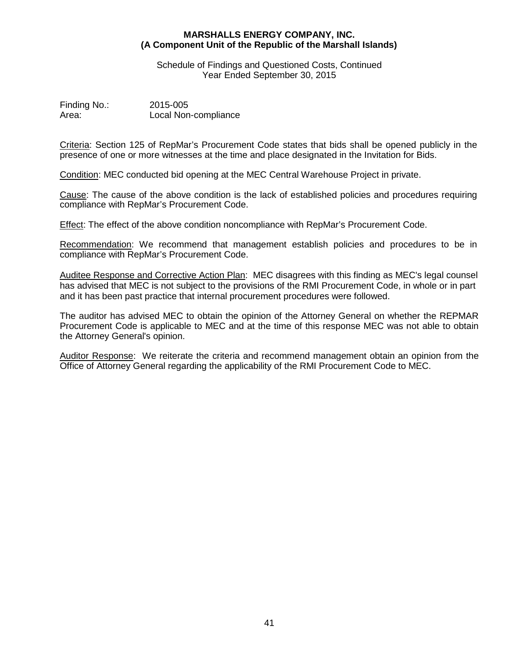Schedule of Findings and Questioned Costs, Continued Year Ended September 30, 2015

| Finding No.: | 2015-005             |
|--------------|----------------------|
| Area:        | Local Non-compliance |

Criteria: Section 125 of RepMar's Procurement Code states that bids shall be opened publicly in the presence of one or more witnesses at the time and place designated in the Invitation for Bids.

Condition: MEC conducted bid opening at the MEC Central Warehouse Project in private.

Cause: The cause of the above condition is the lack of established policies and procedures requiring compliance with RepMar's Procurement Code.

Effect: The effect of the above condition noncompliance with RepMar's Procurement Code.

Recommendation: We recommend that management establish policies and procedures to be in compliance with RepMar's Procurement Code.

Auditee Response and Corrective Action Plan: MEC disagrees with this finding as MEC's legal counsel has advised that MEC is not subject to the provisions of the RMI Procurement Code, in whole or in part and it has been past practice that internal procurement procedures were followed.

The auditor has advised MEC to obtain the opinion of the Attorney General on whether the REPMAR Procurement Code is applicable to MEC and at the time of this response MEC was not able to obtain the Attorney General's opinion.

Auditor Response: We reiterate the criteria and recommend management obtain an opinion from the Office of Attorney General regarding the applicability of the RMI Procurement Code to MEC.